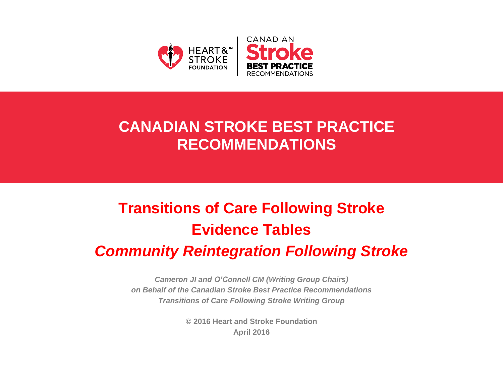

## **CANADIAN STROKE BEST PRACTICE RECOMMENDATIONS**

# **Transitions of Care Following Stroke Evidence Tables**

## *Community Reintegration Following Stroke*

*Cameron JI and O'Connell CM (Writing Group Chairs) on Behalf of the Canadian Stroke Best Practice Recommendations Transitions of Care Following Stroke Writing Group*

> **© 2016 Heart and Stroke Foundation April 2016**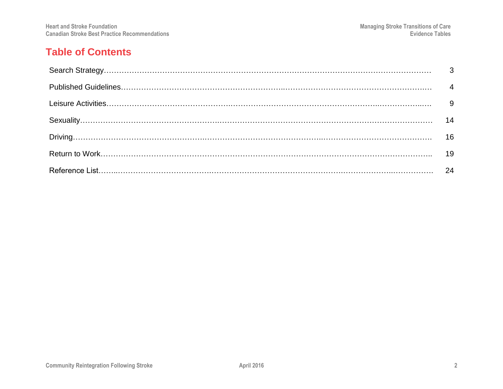#### **Table of Contents**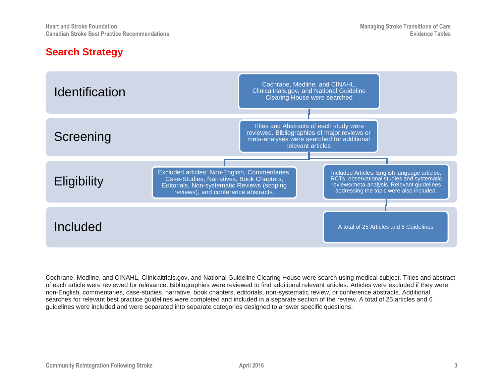#### **Search Strategy**



Cochrane, Medline, and CINAHL, Clinicaltrials.gov, and National Guideline Clearing House were search using medical subject. Titles and abstract of each article were reviewed for relevance. Bibliographies were reviewed to find additional relevant articles. Articles were excluded if they were: non-English, commentaries, case-studies, narrative, book chapters, editorials, non-systematic review, or conference abstracts. Additional searches for relevant best practice guidelines were completed and included in a separate section of the review. A total of 25 articles and 6 guidelines were included and were separated into separate categories designed to answer specific questions.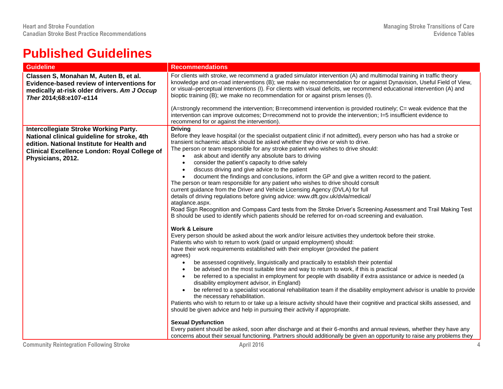## **Published Guidelines**

| <b>Guideline</b>                                                                                                                                                                                                      | <b>Recommendations</b>                                                                                                                                                                                                                                                                                                                                                                                                                                                                                                                                                                                                                                                                                                                                                                                                                                                                                                                                                                                                                                                                                                                                                                                                                                                                                                                                                                                                                                                                                                                                                                                                                                                                                                                                                                                                                                                                                                                                                                                                                                                                                                                                                                                                              |
|-----------------------------------------------------------------------------------------------------------------------------------------------------------------------------------------------------------------------|-------------------------------------------------------------------------------------------------------------------------------------------------------------------------------------------------------------------------------------------------------------------------------------------------------------------------------------------------------------------------------------------------------------------------------------------------------------------------------------------------------------------------------------------------------------------------------------------------------------------------------------------------------------------------------------------------------------------------------------------------------------------------------------------------------------------------------------------------------------------------------------------------------------------------------------------------------------------------------------------------------------------------------------------------------------------------------------------------------------------------------------------------------------------------------------------------------------------------------------------------------------------------------------------------------------------------------------------------------------------------------------------------------------------------------------------------------------------------------------------------------------------------------------------------------------------------------------------------------------------------------------------------------------------------------------------------------------------------------------------------------------------------------------------------------------------------------------------------------------------------------------------------------------------------------------------------------------------------------------------------------------------------------------------------------------------------------------------------------------------------------------------------------------------------------------------------------------------------------------|
| Classen S, Monahan M, Auten B, et al.<br>Evidence-based review of interventions for<br>medically at-risk older drivers. Am J Occup<br>Ther 2014;68:e107-e114                                                          | For clients with stroke, we recommend a graded simulator intervention (A) and multimodal training in traffic theory<br>knowledge and on-road interventions (B); we make no recommendation for or against Dynavision, Useful Field of View,<br>or visual–perceptual interventions (I). For clients with visual deficits, we recommend educational intervention (A) and<br>bioptic training (B); we make no recommendation for or against prism lenses (I).                                                                                                                                                                                                                                                                                                                                                                                                                                                                                                                                                                                                                                                                                                                                                                                                                                                                                                                                                                                                                                                                                                                                                                                                                                                                                                                                                                                                                                                                                                                                                                                                                                                                                                                                                                           |
|                                                                                                                                                                                                                       | (A=strongly recommend the intervention; B=recommend intervention is provided routinely; C= weak evidence that the<br>intervention can improve outcomes; D=recommend not to provide the intervention; I=5 insufficient evidence to<br>recommend for or against the intervention).                                                                                                                                                                                                                                                                                                                                                                                                                                                                                                                                                                                                                                                                                                                                                                                                                                                                                                                                                                                                                                                                                                                                                                                                                                                                                                                                                                                                                                                                                                                                                                                                                                                                                                                                                                                                                                                                                                                                                    |
| <b>Intercollegiate Stroke Working Party.</b><br>National clinical guideline for stroke, 4th<br>edition. National Institute for Health and<br><b>Clinical Excellence London: Royal College of</b><br>Physicians, 2012. | <b>Driving</b><br>Before they leave hospital (or the specialist outpatient clinic if not admitted), every person who has had a stroke or<br>transient ischaemic attack should be asked whether they drive or wish to drive.<br>The person or team responsible for any stroke patient who wishes to drive should:<br>ask about and identify any absolute bars to driving<br>consider the patient's capacity to drive safely<br>$\bullet$<br>discuss driving and give advice to the patient<br>$\bullet$<br>document the findings and conclusions, inform the GP and give a written record to the patient.<br>$\bullet$<br>The person or team responsible for any patient who wishes to drive should consult<br>current guidance from the Driver and Vehicle Licensing Agency (DVLA) for full<br>details of driving regulations before giving advice: www.dft.gov.uk/dvla/medical/<br>ataglance.aspx.<br>Road Sign Recognition and Compass Card tests from the Stroke Driver's Screening Assessment and Trail Making Test<br>B should be used to identify which patients should be referred for on-road screening and evaluation.<br><b>Work &amp; Leisure</b><br>Every person should be asked about the work and/or leisure activities they undertook before their stroke.<br>Patients who wish to return to work (paid or unpaid employment) should:<br>have their work requirements established with their employer (provided the patient<br>agrees)<br>be assessed cognitively, linguistically and practically to establish their potential<br>$\bullet$<br>be advised on the most suitable time and way to return to work, if this is practical<br>be referred to a specialist in employment for people with disability if extra assistance or advice is needed (a<br>$\bullet$<br>disability employment advisor, in England)<br>be referred to a specialist vocational rehabilitation team if the disability employment advisor is unable to provide<br>the necessary rehabilitation.<br>Patients who wish to return to or take up a leisure activity should have their cognitive and practical skills assessed, and<br>should be given advice and help in pursuing their activity if appropriate.<br><b>Sexual Dysfunction</b> |
|                                                                                                                                                                                                                       | Every patient should be asked, soon after discharge and at their 6-months and annual reviews, whether they have any<br>concerns about their sexual functioning. Partners should additionally be given an opportunity to raise any problems they                                                                                                                                                                                                                                                                                                                                                                                                                                                                                                                                                                                                                                                                                                                                                                                                                                                                                                                                                                                                                                                                                                                                                                                                                                                                                                                                                                                                                                                                                                                                                                                                                                                                                                                                                                                                                                                                                                                                                                                     |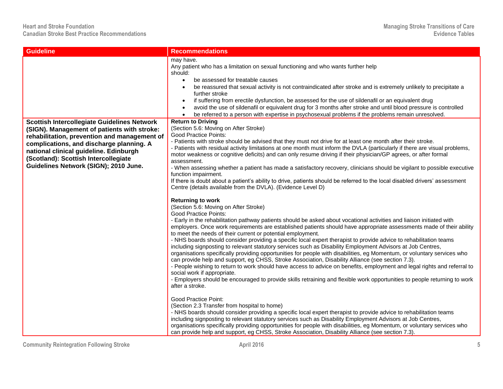| <b>Guideline</b>                                                                                                                                                                                                    | <b>Recommendations</b>                                                                                                                                                                                                                                                                                                                                                                                                                                                                                                                                                                                                                                                                                                                                                                                                                                                                                                                                                                                                                                                                                                                                                                                                                                                                                                                                                                                                                                                                                                                                                                                                                                                                                                                                |
|---------------------------------------------------------------------------------------------------------------------------------------------------------------------------------------------------------------------|-------------------------------------------------------------------------------------------------------------------------------------------------------------------------------------------------------------------------------------------------------------------------------------------------------------------------------------------------------------------------------------------------------------------------------------------------------------------------------------------------------------------------------------------------------------------------------------------------------------------------------------------------------------------------------------------------------------------------------------------------------------------------------------------------------------------------------------------------------------------------------------------------------------------------------------------------------------------------------------------------------------------------------------------------------------------------------------------------------------------------------------------------------------------------------------------------------------------------------------------------------------------------------------------------------------------------------------------------------------------------------------------------------------------------------------------------------------------------------------------------------------------------------------------------------------------------------------------------------------------------------------------------------------------------------------------------------------------------------------------------------|
|                                                                                                                                                                                                                     | may have.<br>Any patient who has a limitation on sexual functioning and who wants further help<br>should:<br>be assessed for treatable causes<br>$\bullet$<br>be reassured that sexual activity is not contraindicated after stroke and is extremely unlikely to precipitate a<br>further stroke<br>if suffering from erectile dysfunction, be assessed for the use of sildenafil or an equivalent drug<br>$\bullet$<br>avoid the use of sildenafil or equivalent drug for 3 months after stroke and until blood pressure is controlled<br>be referred to a person with expertise in psychosexual problems if the problems remain unresolved.                                                                                                                                                                                                                                                                                                                                                                                                                                                                                                                                                                                                                                                                                                                                                                                                                                                                                                                                                                                                                                                                                                         |
| <b>Scottish Intercollegiate Guidelines Network</b>                                                                                                                                                                  | <b>Return to Driving</b>                                                                                                                                                                                                                                                                                                                                                                                                                                                                                                                                                                                                                                                                                                                                                                                                                                                                                                                                                                                                                                                                                                                                                                                                                                                                                                                                                                                                                                                                                                                                                                                                                                                                                                                              |
| (SIGN). Management of patients with stroke:                                                                                                                                                                         | (Section 5.6: Moving on After Stroke)                                                                                                                                                                                                                                                                                                                                                                                                                                                                                                                                                                                                                                                                                                                                                                                                                                                                                                                                                                                                                                                                                                                                                                                                                                                                                                                                                                                                                                                                                                                                                                                                                                                                                                                 |
| rehabilitation, prevention and management of<br>complications, and discharge planning. A<br>national clinical guideline. Edinburgh<br>(Scotland): Scottish Intercollegiate<br>Guidelines Network (SIGN); 2010 June. | <b>Good Practice Points:</b><br>- Patients with stroke should be advised that they must not drive for at least one month after their stroke.<br>Patients with residual activity limitations at one month must inform the DVLA (particularly if there are visual problems,<br>motor weakness or cognitive deficits) and can only resume driving if their physician/GP agrees, or after formal<br>assessment.<br>- When assessing whether a patient has made a satisfactory recovery, clinicians should be vigilant to possible executive<br>function impairment.<br>If there is doubt about a patient's ability to drive, patients should be referred to the local disabled drivers' assessment<br>Centre (details available from the DVLA). (Evidence Level D)                                                                                                                                                                                                                                                                                                                                                                                                                                                                                                                                                                                                                                                                                                                                                                                                                                                                                                                                                                                        |
|                                                                                                                                                                                                                     | <b>Returning to work</b><br>(Section 5.6: Moving on After Stroke)<br><b>Good Practice Points:</b><br>- Early in the rehabilitation pathway patients should be asked about vocational activities and liaison initiated with<br>employers. Once work requirements are established patients should have appropriate assessments made of their ability<br>to meet the needs of their current or potential employment.<br>- NHS boards should consider providing a specific local expert therapist to provide advice to rehabilitation teams<br>including signposting to relevant statutory services such as Disability Employment Advisors at Job Centres,<br>organisations specifically providing opportunities for people with disabilities, eg Momentum, or voluntary services who<br>can provide help and support, eg CHSS, Stroke Association, Disability Alliance (see section 7.3).<br>- People wishing to return to work should have access to advice on benefits, employment and legal rights and referral to<br>social work if appropriate.<br>- Employers should be encouraged to provide skills retraining and flexible work opportunities to people returning to work<br>after a stroke.<br><b>Good Practice Point:</b><br>(Section 2.3 Transfer from hospital to home)<br>- NHS boards should consider providing a specific local expert therapist to provide advice to rehabilitation teams<br>including signposting to relevant statutory services such as Disability Employment Advisors at Job Centres,<br>organisations specifically providing opportunities for people with disabilities, eg Momentum, or voluntary services who<br>can provide help and support, eg CHSS, Stroke Association, Disability Alliance (see section 7.3). |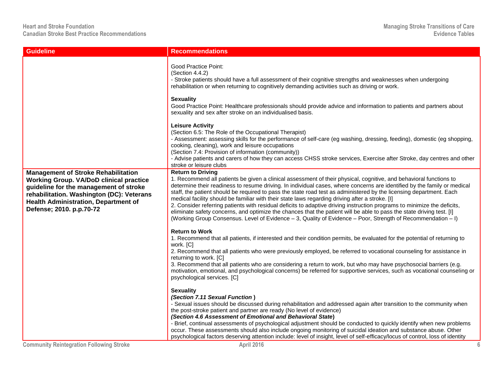| <b>Guideline</b>                                                                                                                                                                                                                                               | <b>Recommendations</b>                                                                                                                                                                                                                                                                                                                                                                                                                                                                                                                                                                                                                                                                                                                                                                                                                                                    |
|----------------------------------------------------------------------------------------------------------------------------------------------------------------------------------------------------------------------------------------------------------------|---------------------------------------------------------------------------------------------------------------------------------------------------------------------------------------------------------------------------------------------------------------------------------------------------------------------------------------------------------------------------------------------------------------------------------------------------------------------------------------------------------------------------------------------------------------------------------------------------------------------------------------------------------------------------------------------------------------------------------------------------------------------------------------------------------------------------------------------------------------------------|
|                                                                                                                                                                                                                                                                | <b>Good Practice Point:</b><br>(Section 4.4.2)<br>- Stroke patients should have a full assessment of their cognitive strengths and weaknesses when undergoing<br>rehabilitation or when returning to cognitively demanding activities such as driving or work.<br><b>Sexuality</b><br>Good Practice Point: Healthcare professionals should provide advice and information to patients and partners about                                                                                                                                                                                                                                                                                                                                                                                                                                                                  |
|                                                                                                                                                                                                                                                                | sexuality and sex after stroke on an individualised basis.<br><b>Leisure Activity</b><br>(Section 6.5: The Role of the Occupational Therapist)<br>- Assessment: assessing skills for the performance of self-care (eg washing, dressing, feeding), domestic (eg shopping,<br>cooking, cleaning), work and leisure occupations<br>(Section 7.4: Provision of information (community))<br>- Advise patients and carers of how they can access CHSS stroke services, Exercise after Stroke, day centres and other<br>stroke or leisure clubs                                                                                                                                                                                                                                                                                                                                 |
| <b>Management of Stroke Rehabilitation</b><br><b>Working Group. VA/DoD clinical practice</b><br>guideline for the management of stroke<br>rehabilitation. Washington (DC): Veterans<br><b>Health Administration, Department of</b><br>Defense; 2010. p.p.70-72 | <b>Return to Driving</b><br>1. Recommend all patients be given a clinical assessment of their physical, cognitive, and behavioral functions to<br>determine their readiness to resume driving. In individual cases, where concerns are identified by the family or medical<br>staff, the patient should be required to pass the state road test as administered by the licensing department. Each<br>medical facility should be familiar with their state laws regarding driving after a stroke. [I]<br>2. Consider referring patients with residual deficits to adaptive driving instruction programs to minimize the deficits,<br>eliminate safety concerns, and optimize the chances that the patient will be able to pass the state driving test. [I]<br>(Working Group Consensus. Level of Evidence - 3, Quality of Evidence - Poor, Strength of Recommendation - I) |
|                                                                                                                                                                                                                                                                | <b>Return to Work</b><br>1. Recommend that all patients, if interested and their condition permits, be evaluated for the potential of returning to<br>work. [C]<br>2. Recommend that all patients who were previously employed, be referred to vocational counseling for assistance in<br>returning to work. [C]<br>3. Recommend that all patients who are considering a return to work, but who may have psychosocial barriers (e.g.<br>motivation, emotional, and psychological concerns) be referred for supportive services, such as vocational counseling or<br>psychological services. [C]                                                                                                                                                                                                                                                                          |
|                                                                                                                                                                                                                                                                | <b>Sexuality</b><br>(Section 7.11 Sexual Function)<br>- Sexual issues should be discussed during rehabilitation and addressed again after transition to the community when<br>the post-stroke patient and partner are ready (No level of evidence)<br>(Section 4.6 Assessment of Emotional and Behavioral State)<br>- Brief, continual assessments of psychological adjustment should be conducted to quickly identify when new problems<br>occur. These assessments should also include ongoing monitoring of suicidal ideation and substance abuse. Other<br>psychological factors deserving attention include: level of insight, level of self-efficacy/locus of control, loss of identity                                                                                                                                                                             |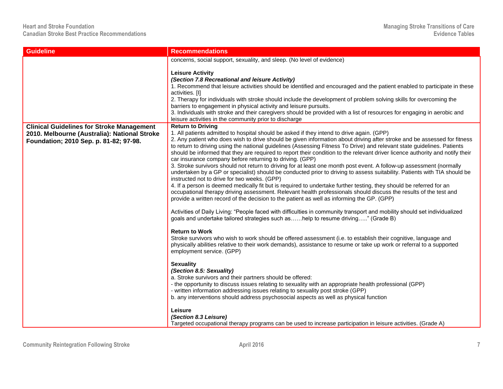| <b>Guideline</b>                                                                                                                           | <b>Recommendations</b>                                                                                                                                                                                                                                                                                                                                                                                                                                                                                                                                                                                                                                                                                                                                                                                                                                                                                                                                                                                                                                                                                                                                                                                                                                                                                                                                                                                                                                             |
|--------------------------------------------------------------------------------------------------------------------------------------------|--------------------------------------------------------------------------------------------------------------------------------------------------------------------------------------------------------------------------------------------------------------------------------------------------------------------------------------------------------------------------------------------------------------------------------------------------------------------------------------------------------------------------------------------------------------------------------------------------------------------------------------------------------------------------------------------------------------------------------------------------------------------------------------------------------------------------------------------------------------------------------------------------------------------------------------------------------------------------------------------------------------------------------------------------------------------------------------------------------------------------------------------------------------------------------------------------------------------------------------------------------------------------------------------------------------------------------------------------------------------------------------------------------------------------------------------------------------------|
|                                                                                                                                            | concerns, social support, sexuality, and sleep. (No level of evidence)                                                                                                                                                                                                                                                                                                                                                                                                                                                                                                                                                                                                                                                                                                                                                                                                                                                                                                                                                                                                                                                                                                                                                                                                                                                                                                                                                                                             |
|                                                                                                                                            | <b>Leisure Activity</b><br>(Section 7.8 Recreational and leisure Activity)<br>1. Recommend that leisure activities should be identified and encouraged and the patient enabled to participate in these<br>activities. [I]<br>2. Therapy for individuals with stroke should include the development of problem solving skills for overcoming the                                                                                                                                                                                                                                                                                                                                                                                                                                                                                                                                                                                                                                                                                                                                                                                                                                                                                                                                                                                                                                                                                                                    |
|                                                                                                                                            | barriers to engagement in physical activity and leisure pursuits.<br>3. Individuals with stroke and their caregivers should be provided with a list of resources for engaging in aerobic and<br>leisure activities in the community prior to discharge                                                                                                                                                                                                                                                                                                                                                                                                                                                                                                                                                                                                                                                                                                                                                                                                                                                                                                                                                                                                                                                                                                                                                                                                             |
| <b>Clinical Guidelines for Stroke Management</b><br>2010. Melbourne (Australia): National Stroke<br>Foundation; 2010 Sep. p. 81-82; 97-98. | <b>Return to Driving</b><br>1. All patients admitted to hospital should be asked if they intend to drive again. (GPP)<br>2. Any patient who does wish to drive should be given information about driving after stroke and be assessed for fitness<br>to return to driving using the national guidelines (Assessing Fitness To Drive) and relevant state guidelines. Patients<br>should be informed that they are required to report their condition to the relevant driver licence authority and notify their<br>car insurance company before returning to driving. (GPP)<br>3. Stroke survivors should not return to driving for at least one month post event. A follow-up assessment (normally<br>undertaken by a GP or specialist) should be conducted prior to driving to assess suitability. Patients with TIA should be<br>instructed not to drive for two weeks. (GPP)<br>4. If a person is deemed medically fit but is required to undertake further testing, they should be referred for an<br>occupational therapy driving assessment. Relevant health professionals should discuss the results of the test and<br>provide a written record of the decision to the patient as well as informing the GP. (GPP)<br>Activities of Daily Living: "People faced with difficulties in community transport and mobility should set individualized<br>goals and undertake tailored strategies such ashelp to resume driving" (Grade B)<br><b>Return to Work</b> |
|                                                                                                                                            | Stroke survivors who wish to work should be offered assessment (i.e. to establish their cognitive, language and<br>physically abilities relative to their work demands), assistance to resume or take up work or referral to a supported<br>employment service. (GPP)<br><b>Sexuality</b><br>(Section 8.5: Sexuality)                                                                                                                                                                                                                                                                                                                                                                                                                                                                                                                                                                                                                                                                                                                                                                                                                                                                                                                                                                                                                                                                                                                                              |
|                                                                                                                                            | a. Stroke survivors and their partners should be offered:<br>- the opportunity to discuss issues relating to sexuality with an appropriate health professional (GPP)<br>- written information addressing issues relating to sexuality post stroke (GPP)<br>b. any interventions should address psychosocial aspects as well as physical function                                                                                                                                                                                                                                                                                                                                                                                                                                                                                                                                                                                                                                                                                                                                                                                                                                                                                                                                                                                                                                                                                                                   |
|                                                                                                                                            | Leisure<br>(Section 8.3 Leisure)<br>Targeted occupational therapy programs can be used to increase participation in leisure activities. (Grade A)                                                                                                                                                                                                                                                                                                                                                                                                                                                                                                                                                                                                                                                                                                                                                                                                                                                                                                                                                                                                                                                                                                                                                                                                                                                                                                                  |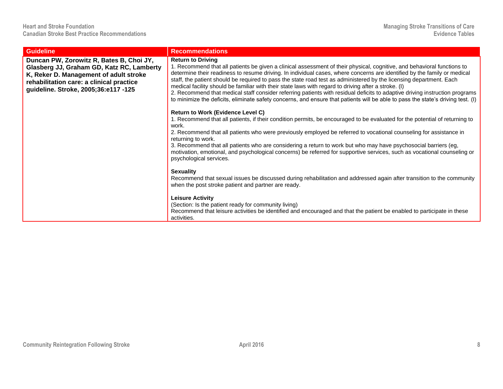| <b>Guideline</b>                                                                                                                                                                                                    | <b>Recommendations</b>                                                                                                                                                                                                                                                                                                                                                                                                                                                                                                                                                                                                                                                                                                                                                            |
|---------------------------------------------------------------------------------------------------------------------------------------------------------------------------------------------------------------------|-----------------------------------------------------------------------------------------------------------------------------------------------------------------------------------------------------------------------------------------------------------------------------------------------------------------------------------------------------------------------------------------------------------------------------------------------------------------------------------------------------------------------------------------------------------------------------------------------------------------------------------------------------------------------------------------------------------------------------------------------------------------------------------|
| Duncan PW, Zorowitz R, Bates B, Choi JY,<br>Glasberg JJ, Graham GD, Katz RC, Lamberty<br>K, Reker D. Management of adult stroke<br>rehabilitation care: a clinical practice<br>guideline. Stroke, 2005;36:e117 -125 | <b>Return to Driving</b><br>1. Recommend that all patients be given a clinical assessment of their physical, cognitive, and behavioral functions to<br>determine their readiness to resume driving. In individual cases, where concerns are identified by the family or medical<br>staff, the patient should be required to pass the state road test as administered by the licensing department. Each<br>medical facility should be familiar with their state laws with regard to driving after a stroke. (I)<br>2. Recommend that medical staff consider referring patients with residual deficits to adaptive driving instruction programs<br>to minimize the deficits, eliminate safety concerns, and ensure that patients will be able to pass the state's driving test. (I) |
|                                                                                                                                                                                                                     | <b>Return to Work (Evidence Level C)</b><br>1. Recommend that all patients, if their condition permits, be encouraged to be evaluated for the potential of returning to<br>work.<br>2. Recommend that all patients who were previously employed be referred to vocational counseling for assistance in<br>returning to work.<br>3. Recommend that all patients who are considering a return to work but who may have psychosocial barriers (eg,<br>motivation, emotional, and psychological concerns) be referred for supportive services, such as vocational counseling or<br>psychological services.                                                                                                                                                                            |
|                                                                                                                                                                                                                     | <b>Sexuality</b><br>Recommend that sexual issues be discussed during rehabilitation and addressed again after transition to the community<br>when the post stroke patient and partner are ready.<br><b>Leisure Activity</b><br>(Section: Is the patient ready for community living)<br>Recommend that leisure activities be identified and encouraged and that the patient be enabled to participate in these<br>activities.                                                                                                                                                                                                                                                                                                                                                      |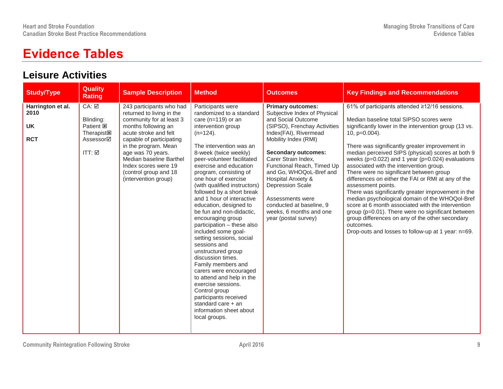## **Evidence Tables**

#### **Leisure Activities**

| <b>Study/Type</b>                                    | <b>Quality</b><br><b>Rating</b>                                             | <b>Sample Description</b>                                                                                                                                                                                                                                                                                      | <b>Method</b>                                                                                                                                                                                                                                                                                                                                                                                                                                                                                                                                                                                                                                                                                                                                                                                              | <b>Outcomes</b>                                                                                                                                                                                                                                                                                                                                                                                                                   | <b>Key Findings and Recommendations</b>                                                                                                                                                                                                                                                                                                                                                                                                                                                                                                                                                                                                                                                                                                                                                                                                               |
|------------------------------------------------------|-----------------------------------------------------------------------------|----------------------------------------------------------------------------------------------------------------------------------------------------------------------------------------------------------------------------------------------------------------------------------------------------------------|------------------------------------------------------------------------------------------------------------------------------------------------------------------------------------------------------------------------------------------------------------------------------------------------------------------------------------------------------------------------------------------------------------------------------------------------------------------------------------------------------------------------------------------------------------------------------------------------------------------------------------------------------------------------------------------------------------------------------------------------------------------------------------------------------------|-----------------------------------------------------------------------------------------------------------------------------------------------------------------------------------------------------------------------------------------------------------------------------------------------------------------------------------------------------------------------------------------------------------------------------------|-------------------------------------------------------------------------------------------------------------------------------------------------------------------------------------------------------------------------------------------------------------------------------------------------------------------------------------------------------------------------------------------------------------------------------------------------------------------------------------------------------------------------------------------------------------------------------------------------------------------------------------------------------------------------------------------------------------------------------------------------------------------------------------------------------------------------------------------------------|
| Harrington et al.<br>2010<br><b>UK</b><br><b>RCT</b> | CA: ☑<br>Blinding:<br>Patient <b>E</b><br>Therapist図<br>Assessor⊠<br>ITT: ☑ | 243 participants who had<br>returned to living in the<br>community for at least 3<br>months following an<br>acute stroke and felt<br>capable of participating<br>in the program. Mean<br>age was 70 years.<br>Median baseline Barthel<br>Index scores were 19<br>(control group and 18<br>(intervention group) | Participants were<br>randomized to a standard<br>care $(n=119)$ or an<br>intervention group<br>$(n=124)$ .<br>The intervention was an<br>8-week (twice weekly)<br>peer-volunteer facilitated<br>exercise and education<br>program, consisting of<br>one hour of exercise<br>(with qualified instructors)<br>followed by a short break<br>and 1 hour of interactive<br>education, designed to<br>be fun and non-didactic,<br>encouraging group<br>participation - these also<br>included some goal-<br>setting sessions, social<br>sessions and<br>unstructured group<br>discussion times.<br>Family members and<br>carers were encouraged<br>to attend and help in the<br>exercise sessions.<br>Control group<br>participants received<br>standard care $+$ an<br>information sheet about<br>local groups. | <b>Primary outcomes:</b><br>Subjective Index of Physical<br>and Social Outcome<br>(SIPSO), Frenchay Activities<br>Index(FAI), Rivermead<br>Mobility Index (RMI)<br><b>Secondary outcomes:</b><br>Carer Strain Index,<br>Functional Reach, Timed Up<br>and Go, WHOQoL-Bref and<br>Hospital Anxiety &<br><b>Depression Scale</b><br>Assessments were<br>conducted at baseline, 9<br>weeks, 6 months and one<br>year (postal survey) | 61% of participants attended ≥12/16 sessions.<br>Median baseline total SIPSO scores were<br>significantly lower in the intervention group (13 vs.<br>$10$ , $p=0.004$ ).<br>There was significantly greater improvement in<br>median perceived SIPS (physical) scores at both 9<br>weeks ( $p=0.022$ ) and 1 year ( $p=0.024$ ) evaluations<br>associated with the intervention group.<br>There were no significant between group<br>differences on either the FAI or RMI at any of the<br>assessment points.<br>There was significantly greater improvement in the<br>median psychological domain of the WHOQol-Bref<br>score at 6 month associated with the intervention<br>group (p=0.01). There were no significant between<br>group differences on any of the other secondary<br>outcomes.<br>Drop-outs and losses to follow-up at 1 year: n=69. |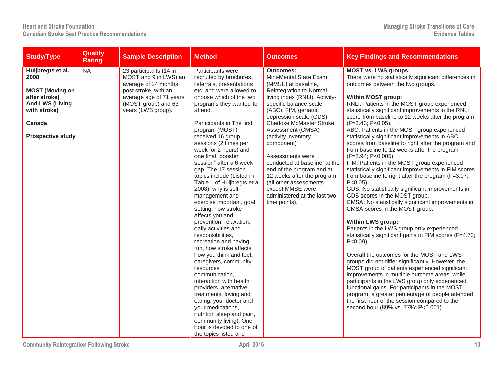| <b>Study/Type</b>                                                                                                                                    | <b>Quality</b><br><b>Rating</b> | <b>Sample Description</b>                                                                                                                                               | <b>Method</b>                                                                                                                                                                                                                                                                                                                                                                                                                                                                                                                                                                                                                                                                                                                                                                                                                                                                                                                                                                                             | <b>Outcomes</b>                                                                                                                                                                                                                                                                                                                                                                                                                                                                                                         | <b>Key Findings and Recommendations</b>                                                                                                                                                                                                                                                                                                                                                                                                                                                                                                                                                                                                                                                                                                                                                                                                                                                                                                                                                                                                                                                                                                                                                                                                                                                                                                                                                                                                                                                                                                  |
|------------------------------------------------------------------------------------------------------------------------------------------------------|---------------------------------|-------------------------------------------------------------------------------------------------------------------------------------------------------------------------|-----------------------------------------------------------------------------------------------------------------------------------------------------------------------------------------------------------------------------------------------------------------------------------------------------------------------------------------------------------------------------------------------------------------------------------------------------------------------------------------------------------------------------------------------------------------------------------------------------------------------------------------------------------------------------------------------------------------------------------------------------------------------------------------------------------------------------------------------------------------------------------------------------------------------------------------------------------------------------------------------------------|-------------------------------------------------------------------------------------------------------------------------------------------------------------------------------------------------------------------------------------------------------------------------------------------------------------------------------------------------------------------------------------------------------------------------------------------------------------------------------------------------------------------------|------------------------------------------------------------------------------------------------------------------------------------------------------------------------------------------------------------------------------------------------------------------------------------------------------------------------------------------------------------------------------------------------------------------------------------------------------------------------------------------------------------------------------------------------------------------------------------------------------------------------------------------------------------------------------------------------------------------------------------------------------------------------------------------------------------------------------------------------------------------------------------------------------------------------------------------------------------------------------------------------------------------------------------------------------------------------------------------------------------------------------------------------------------------------------------------------------------------------------------------------------------------------------------------------------------------------------------------------------------------------------------------------------------------------------------------------------------------------------------------------------------------------------------------|
| Huijbregts et al.<br>2008<br><b>MOST (Moving on</b><br>after stroke)<br><b>And LWS (Living</b><br>with stroke)<br>Canada<br><b>Prospective study</b> | <b>NA</b>                       | 23 participants (14 in<br>MOST and 9 in LWS) an<br>average of 24 months<br>post stroke, with an<br>average age of 71 years<br>(MOST group) and 63<br>years (LWS group). | Participants were<br>recruited by brochures,<br>referrals, presentations<br>etc. and were allowed to<br>choose which of the two<br>programs they wanted to<br>attend.<br>Participants in The first<br>program (MOST)<br>received 16 group<br>sessions (2 times per<br>week for 2 hours) and<br>one final "booster<br>session" after a 6 week<br>gap. The 17 session<br>topics include (Listed in<br>Table 1 of Huijbregts et al<br>2008): why is self-<br>management and<br>exercise important, goal<br>setting, how stroke<br>affects you and<br>prevention, relaxation,<br>daily activities and<br>responsibilities,<br>recreation and having<br>fun, how stroke affects<br>how you think and feel,<br>caregivers, community<br>resources<br>communication,<br>interaction with health<br>providers, alternative<br>treatments, loving and<br>caring, your doctor and<br>your medications,<br>nutrition sleep and pain,<br>community living). One<br>hour is devoted to one of<br>the topics listed and | <b>Outcomes:</b><br>Mini-Mental State Exam<br>(MMSE) at baseline,<br>Reintegration to Normal<br>living index (RNLI), Activity-<br>specific balance scale<br>(ABC), FIM, geriatric<br>depression scale (GDS),<br><b>Chedoke McMaster Stroke</b><br>Assessment (CMSA)<br>(activity inventory<br>component)<br>Assessments were<br>conducted at baseline, at the<br>end of the program and at<br>12 weeks after the program<br>(all other assessments<br>except MMSE were<br>administered at the last two<br>time points). | <b>MOST vs. LWS groups:</b><br>There were no statistically significant differences in<br>outcomes between the two groups.<br><b>Within MOST group:</b><br>RNLI: Patients in the MOST group experienced<br>statistically significant improvements in the RNLI<br>score from baseline to 12 weeks after the program<br>(F=3.43; P<0.05).<br>ABC: Patients in the MOST group experienced<br>statistically significant improvements in ABC<br>scores from baseline to right after the program and<br>from baseline to 12 weeks after the program<br>$(F=8.94; P<0.005)$ .<br>FIM: Patients in the MOST group experienced<br>statistically significant improvements in FIM scores<br>from baseline to right after the program (F=3.97;<br>$P < 0.05$ ).<br>GDS: No statistically significant improvements in<br>GDS scores in the MOST group.<br>CMSA: No statistically significant improvements in<br>CMSA scores in the MOST group.<br><b>Within LWS group:</b><br>Patients in the LWS group only experienced<br>statistically significant gains in FIM scores (F=4.73;<br>$P < 0.09$ )<br>Overall the outcomes for the MOST and LWS<br>groups did not differ significantly. However, the<br>MOST group of patients experienced significant<br>improvements in multiple outcome areas, while<br>participants in the LWS group only experienced<br>functional gains. For participants in the MOST<br>program, a greater percentage of people attended<br>the first hour of the session compared to the<br>second hour (89% vs. 77%; P<0.001) |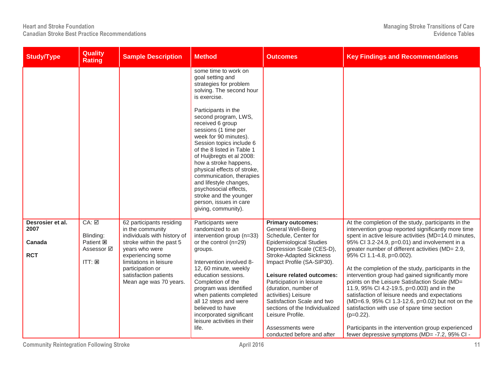| <b>Study/Type</b>                                | <b>Quality</b><br><b>Rating</b>                                          | <b>Sample Description</b>                                                                                                                                                                                                                       | <b>Method</b>                                                                                                                                                                                                                                                                                                                                                                                                                                                                                                                               | <b>Outcomes</b>                                                                                                                                                                                                                                                                                                                                                                                                                                            | <b>Key Findings and Recommendations</b>                                                                                                                                                                                                                                                                                                                                                                                                                                                                                                                                                                                                                                                                                                                                                    |
|--------------------------------------------------|--------------------------------------------------------------------------|-------------------------------------------------------------------------------------------------------------------------------------------------------------------------------------------------------------------------------------------------|---------------------------------------------------------------------------------------------------------------------------------------------------------------------------------------------------------------------------------------------------------------------------------------------------------------------------------------------------------------------------------------------------------------------------------------------------------------------------------------------------------------------------------------------|------------------------------------------------------------------------------------------------------------------------------------------------------------------------------------------------------------------------------------------------------------------------------------------------------------------------------------------------------------------------------------------------------------------------------------------------------------|--------------------------------------------------------------------------------------------------------------------------------------------------------------------------------------------------------------------------------------------------------------------------------------------------------------------------------------------------------------------------------------------------------------------------------------------------------------------------------------------------------------------------------------------------------------------------------------------------------------------------------------------------------------------------------------------------------------------------------------------------------------------------------------------|
|                                                  |                                                                          |                                                                                                                                                                                                                                                 | some time to work on<br>goal setting and<br>strategies for problem<br>solving. The second hour<br>is exercise.<br>Participants in the<br>second program, LWS,<br>received 6 group<br>sessions (1 time per<br>week for 90 minutes).<br>Session topics include 6<br>of the 8 listed in Table 1<br>of Huijbregts et al 2008:<br>how a stroke happens,<br>physical effects of stroke,<br>communication, therapies<br>and lifestyle changes,<br>psychosocial effects,<br>stroke and the younger<br>person, issues in care<br>giving, community). |                                                                                                                                                                                                                                                                                                                                                                                                                                                            |                                                                                                                                                                                                                                                                                                                                                                                                                                                                                                                                                                                                                                                                                                                                                                                            |
| Desrosier et al.<br>2007<br>Canada<br><b>RCT</b> | CA: ☑<br>Blinding:<br>Patient <b>図</b><br>Assessor ⊠<br>$ITT: \boxtimes$ | 62 participants residing<br>in the community<br>individuals with history of<br>stroke within the past 5<br>years who were<br>experiencing some<br>limitations in leisure<br>participation or<br>satisfaction patients<br>Mean age was 70 years. | Participants were<br>randomized to an<br>intervention group (n=33)<br>or the control (n=29)<br>groups.<br>Intervention involved 8-<br>12, 60 minute, weekly<br>education sessions.<br>Completion of the<br>program was identified<br>when patients completed<br>all 12 steps and were<br>believed to have<br>incorporated significant<br>leisure activities in their<br>life.                                                                                                                                                               | <b>Primary outcomes:</b><br><b>General Well-Being</b><br>Schedule, Center for<br><b>Epidemiological Studies</b><br>Depression Scale (CES-D),<br><b>Stroke-Adapted Sickness</b><br>Impact Profile (SA-SIP30).<br>Leisure related outcomes:<br>Participation in leisure<br>(duration, number of<br>activities) Leisure<br>Satisfaction Scale and two<br>sections of the Individualized<br>Leisure Profile.<br>Assessments were<br>conducted before and after | At the completion of the study, participants in the<br>intervention group reported significantly more time<br>spent in active leisure activities (MD=14.0 minutes,<br>95% CI 3.2-24.9, p=0.01) and involvement in a<br>greater number of different activities (MD= 2.9,<br>95% CI 1.1-4.8, p=0.002).<br>At the completion of the study, participants in the<br>intervention group had gained significantly more<br>points on the Leisure Satisfaction Scale (MD=<br>11.9, 95% Cl 4.2-19.5, p=0.003) and in the<br>satisfaction of leisure needs and expectations<br>(MD=6.9, 95% Cl 1.3-12.6, p=0.02) but not on the<br>satisfaction with use of spare time section<br>$(p=0.22)$ .<br>Participants in the intervention group experienced<br>fewer depressive symptoms (MD= -7.2, 95% CI - |

**Community Reintegration Following Stroke 11 11**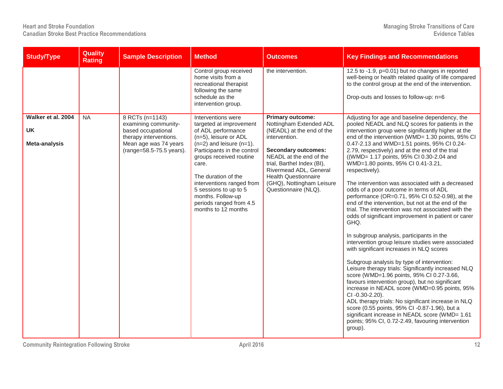| <b>Study/Type</b>                                | Quality<br><b>Rating</b> | <b>Sample Description</b>                                                                                                                    | <b>Method</b>                                                                                                                                                                                                                                                                                                                                        | <b>Outcomes</b>                                                                                                                                                                                                                                                                                       | <b>Key Findings and Recommendations</b>                                                                                                                                                                                                                                                                                                                                                                                                                                                                                                                                                                                                                                                                                                                                                                                                                                                                                                                                                                                                                                                                                                                                                                                                                                                                                                                                                          |
|--------------------------------------------------|--------------------------|----------------------------------------------------------------------------------------------------------------------------------------------|------------------------------------------------------------------------------------------------------------------------------------------------------------------------------------------------------------------------------------------------------------------------------------------------------------------------------------------------------|-------------------------------------------------------------------------------------------------------------------------------------------------------------------------------------------------------------------------------------------------------------------------------------------------------|--------------------------------------------------------------------------------------------------------------------------------------------------------------------------------------------------------------------------------------------------------------------------------------------------------------------------------------------------------------------------------------------------------------------------------------------------------------------------------------------------------------------------------------------------------------------------------------------------------------------------------------------------------------------------------------------------------------------------------------------------------------------------------------------------------------------------------------------------------------------------------------------------------------------------------------------------------------------------------------------------------------------------------------------------------------------------------------------------------------------------------------------------------------------------------------------------------------------------------------------------------------------------------------------------------------------------------------------------------------------------------------------------|
|                                                  |                          |                                                                                                                                              | Control group received<br>home visits from a<br>recreational therapist<br>following the same<br>schedule as the<br>intervention group.                                                                                                                                                                                                               | the intervention.                                                                                                                                                                                                                                                                                     | 12.5 to -1.9, p=0.01) but no changes in reported<br>well-being or health related quality of life compared<br>to the control group at the end of the intervention.<br>Drop-outs and losses to follow-up: n=6                                                                                                                                                                                                                                                                                                                                                                                                                                                                                                                                                                                                                                                                                                                                                                                                                                                                                                                                                                                                                                                                                                                                                                                      |
| Walker et al. 2004<br><b>UK</b><br>Meta-analysis | <b>NA</b>                | 8 RCTs (n=1143)<br>examining community-<br>based occupational<br>therapy interventions.<br>Mean age was 74 years<br>(range=58.5-75.5 years). | Interventions were<br>targeted at improvement<br>of ADL performance<br>(n=5), leisure or ADL<br>$(n=2)$ and leisure $(n=1)$ .<br>Participants in the control<br>groups received routine<br>care.<br>The duration of the<br>interventions ranged from<br>5 sessions to up to 5<br>months. Follow-up<br>periods ranged from 4.5<br>months to 12 months | <b>Primary outcome:</b><br>Nottingham Extended ADL<br>(NEADL) at the end of the<br>intervention.<br><b>Secondary outcomes:</b><br>NEADL at the end of the<br>trial, Barthel Index (BI),<br>Rivermead ADL, General<br><b>Health Questionnaire</b><br>(GHQ), Nottingham Leisure<br>Questionnaire (NLQ). | Adjusting for age and baseline dependency, the<br>pooled NEADL and NLQ scores for patients in the<br>intervention group were significantly higher at the<br>end of the intervention (WMD= 1.30 points, 95% CI<br>0.47-2.13 and WMD=1.51 points, 95% CI 0.24-<br>2.79, respectively) and at the end of the trial<br>((WMD= 1.17 points, 95% CI 0.30-2.04 and<br>WMD=1.80 points, 95% CI 0.41-3.21,<br>respectively).<br>The intervention was associated with a decreased<br>odds of a poor outcome in terms of ADL<br>performance (OR=0.71, 95% CI 0.52-0.98), at the<br>end of the intervention, but not at the end of the<br>trial. The intervention was not associated with the<br>odds of significant improvement in patient or carer<br>GHQ.<br>In subgroup analysis, participants in the<br>intervention group leisure studies were associated<br>with significant increases in NLQ scores<br>Subgroup analysis by type of intervention:<br>Leisure therapy trials: Significantly increased NLQ<br>score (WMD=1.96 points, 95% CI 0.27-3.66,<br>favours intervention group), but no significant<br>increase in NEADL score (WMD=0.95 points, 95%<br>CI-0.30-2.20).<br>ADL therapy trials: No significant increase in NLQ<br>score (0.55 points, 95% CI -0.87-1.96), but a<br>significant increase in NEADL score (WMD= 1.61<br>points; 95% CI, 0.72-2.49, favouring intervention<br>group). |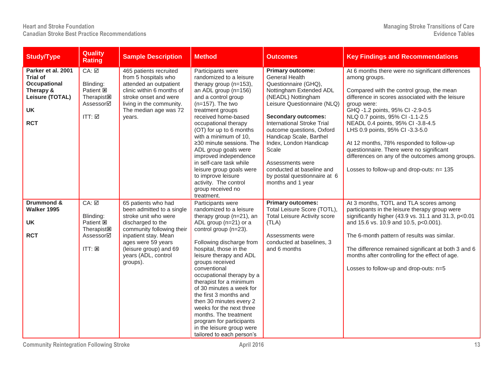| <b>Study/Type</b>                                                                                                | Quality<br><b>Rating</b>                                                                           | <b>Sample Description</b>                                                                                                                                                                     | <b>Method</b>                                                                                                                                                                                                                                                                                                                                                                                                                                                                                     | <b>Outcomes</b>                                                                                                                                                                                                                                                                                                                                                                                                              | <b>Key Findings and Recommendations</b>                                                                                                                                                                                                                                                                                                                                                                                                                                                                                    |
|------------------------------------------------------------------------------------------------------------------|----------------------------------------------------------------------------------------------------|-----------------------------------------------------------------------------------------------------------------------------------------------------------------------------------------------|---------------------------------------------------------------------------------------------------------------------------------------------------------------------------------------------------------------------------------------------------------------------------------------------------------------------------------------------------------------------------------------------------------------------------------------------------------------------------------------------------|------------------------------------------------------------------------------------------------------------------------------------------------------------------------------------------------------------------------------------------------------------------------------------------------------------------------------------------------------------------------------------------------------------------------------|----------------------------------------------------------------------------------------------------------------------------------------------------------------------------------------------------------------------------------------------------------------------------------------------------------------------------------------------------------------------------------------------------------------------------------------------------------------------------------------------------------------------------|
| Parker et al. 2001<br><b>Trial of</b><br>Occupational<br>Therapy &<br>Leisure (TOTAL)<br><b>UK</b><br><b>RCT</b> | CA: ☑<br>Blinding:<br>Patient <b>図</b><br>Therapist <sub>Is</sub><br>Assessor⊠<br>$ITT: \boxed{2}$ | 465 patients recruited<br>from 5 hospitals who<br>attended an outpatient<br>clinic within 6 months of<br>stroke onset and were<br>living in the community.<br>The median age was 72<br>years. | Participants were<br>randomized to a leisure<br>therapy group (n=153),<br>an ADL group $(n=156)$<br>and a control group<br>$(n=157)$ . The two<br>treatment groups<br>received home-based<br>occupational therapy<br>(OT) for up to 6 months<br>with a minimum of 10,<br>$\geq$ 30 minute sessions. The<br>ADL group goals were<br>improved independence<br>in self-care task while<br>leisure group goals were<br>to improve leisure<br>activity. The control<br>group received no<br>treatment. | <b>Primary outcome:</b><br><b>General Health</b><br>Questionnaire (GHQ),<br>Nottingham Extended ADL<br>(NEADL) Nottingham<br>Leisure Questionnaire (NLQ)<br><b>Secondary outcomes:</b><br><b>International Stroke Trial</b><br>outcome questions, Oxford<br>Handicap Scale, Barthel<br>Index, London Handicap<br>Scale<br>Assessments were<br>conducted at baseline and<br>by postal questionnaire at 6<br>months and 1 year | At 6 months there were no significant differences<br>among groups.<br>Compared with the control group, the mean<br>difference in scores associated with the leisure<br>group were:<br>GHQ -1.2 points, 95% Cl -2.9-0.5<br>NLQ 0.7 points, 95% CI -1.1-2.5<br>NEADL 0.4 points, 95% CI -3.8-4.5<br>LHS 0.9 points, 95% CI -3.3-5.0<br>At 12 months, 78% responded to follow-up<br>questionnaire. There were no significant<br>differences on any of the outcomes among groups.<br>Losses to follow-up and drop-outs: n= 135 |
| Drummond &                                                                                                       | $CA: \overline{\boxtimes}$                                                                         | 65 patients who had                                                                                                                                                                           | Participants were                                                                                                                                                                                                                                                                                                                                                                                                                                                                                 | <b>Primary outcomes:</b>                                                                                                                                                                                                                                                                                                                                                                                                     | At 3 months, TOTL and TLA scores among                                                                                                                                                                                                                                                                                                                                                                                                                                                                                     |
| Walker 1995                                                                                                      |                                                                                                    | been admitted to a single<br>stroke unit who were                                                                                                                                             | randomized to a leisure                                                                                                                                                                                                                                                                                                                                                                                                                                                                           | Total Leisure Score (TOTL),<br><b>Total Leisure Activity score</b>                                                                                                                                                                                                                                                                                                                                                           | participants in the leisure therapy group were<br>significantly higher (43.9 vs. 31.1 and 31.3, p<0.01                                                                                                                                                                                                                                                                                                                                                                                                                     |
| <b>UK</b>                                                                                                        | Blinding:<br>Patient <b>図</b>                                                                      | discharged to the                                                                                                                                                                             | therapy group (n=21), an<br>ADL group (n=21) or a                                                                                                                                                                                                                                                                                                                                                                                                                                                 | (TLA)                                                                                                                                                                                                                                                                                                                                                                                                                        | and 15.6 vs. 10.9 and 10.5, p<0.001).                                                                                                                                                                                                                                                                                                                                                                                                                                                                                      |
|                                                                                                                  | <b>Therapist図</b>                                                                                  | community following their                                                                                                                                                                     | control group (n=23).                                                                                                                                                                                                                                                                                                                                                                                                                                                                             |                                                                                                                                                                                                                                                                                                                                                                                                                              |                                                                                                                                                                                                                                                                                                                                                                                                                                                                                                                            |
| <b>RCT</b>                                                                                                       | Assessor⊠                                                                                          | inpatient stay. Mean<br>ages were 59 years                                                                                                                                                    | Following discharge from                                                                                                                                                                                                                                                                                                                                                                                                                                                                          | Assessments were<br>conducted at baselines, 3                                                                                                                                                                                                                                                                                                                                                                                | The 6-month pattern of results was similar.                                                                                                                                                                                                                                                                                                                                                                                                                                                                                |
|                                                                                                                  | ITT: E                                                                                             | (leisure group) and 69<br>years (ADL, control<br>groups).                                                                                                                                     | hospital, those in the<br>leisure therapy and ADL<br>groups received<br>conventional<br>occupational therapy by a<br>therapist for a minimum<br>of 30 minutes a week for<br>the first 3 months and<br>then 30 minutes every 2<br>weeks for the next three<br>months. The treatment<br>program for participants<br>in the leisure group were<br>tailored to each person's                                                                                                                          | and 6 months                                                                                                                                                                                                                                                                                                                                                                                                                 | The difference remained significant at both 3 and 6<br>months after controlling for the effect of age.<br>Losses to follow-up and drop-outs: n=5                                                                                                                                                                                                                                                                                                                                                                           |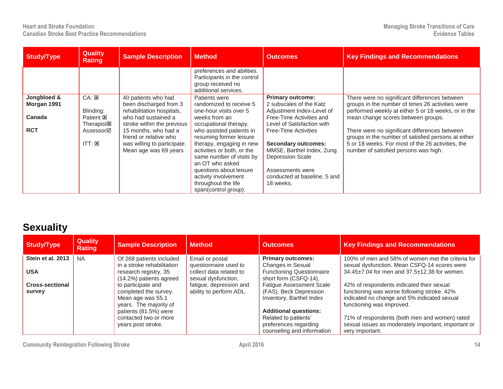| <b>Study</b> /Type                                 | <b>Quality</b><br>Rating                                                                        | <b>Sample Description</b>                                                                                                                                                                                                                 | <b>Method</b>                                                                                                                                                                                                                                                                                                                                                                  | <b>Outcomes</b>                                                                                                                                                                                                                                                                                                                 | <b>Key Findings and Recommendations</b>                                                                                                                                                                                                                                                                                                                                                              |
|----------------------------------------------------|-------------------------------------------------------------------------------------------------|-------------------------------------------------------------------------------------------------------------------------------------------------------------------------------------------------------------------------------------------|--------------------------------------------------------------------------------------------------------------------------------------------------------------------------------------------------------------------------------------------------------------------------------------------------------------------------------------------------------------------------------|---------------------------------------------------------------------------------------------------------------------------------------------------------------------------------------------------------------------------------------------------------------------------------------------------------------------------------|------------------------------------------------------------------------------------------------------------------------------------------------------------------------------------------------------------------------------------------------------------------------------------------------------------------------------------------------------------------------------------------------------|
|                                                    |                                                                                                 |                                                                                                                                                                                                                                           | preferences and abilities.<br>Participants in the control<br>group received no<br>additional services.                                                                                                                                                                                                                                                                         |                                                                                                                                                                                                                                                                                                                                 |                                                                                                                                                                                                                                                                                                                                                                                                      |
| Jongbloed &<br>Morgan 1991<br>Canada<br><b>RCT</b> | CA: 25<br>Blinding:<br>Patient <b>E</b><br>Therapist <b>図</b><br>Assessor⊠<br>$ITT: \mathbb{Z}$ | 40 patients who had<br>been discharged from 3<br>rehabilitation hospitals,<br>who had sustained a<br>stroke within the previous<br>15 months, who had a<br>friend or relative who<br>was willing to participate.<br>Mean age was 69 years | Patients were<br>randomized to receive 5<br>one-hour visits over 5<br>weeks from an<br>occupational therapy,<br>who assisted patients in<br>resuming former leisure<br>therapy, engaging in new<br>activities or both, or the<br>same number of visits by<br>an OT who asked<br>questions about leisure<br>activity involvement<br>throughout the life<br>span(control group). | <b>Primary outcome:</b><br>2 subscales of the Katz<br>Adjustment Index-Level of<br>Free-Time Activities and<br>Level of Satisfaction with<br><b>Free-Time Activities</b><br><b>Secondary outcomes:</b><br>MMSE, Barthel Index, Zung<br><b>Depression Scale</b><br>Assessments were<br>conducted at baseline, 5 and<br>18 weeks. | There were no significant differences between<br>groups in the number of times 26 activities were<br>performed weekly at either 5 or 18 weeks, or in the<br>mean change scores between groups.<br>There were no significant differences between<br>groups in the number of satisfied persons at either<br>5 or 18 weeks. For most of the 26 activities, the<br>number of satisfied persons was high. |

### **Sexuality**

| <b>Study/Type</b>                | <b>Quality</b><br><b>Rating</b> | <b>Sample Description</b>                                                                  | <b>Method</b>                                                           | <b>Outcomes</b>                                                                                             | <b>Key Findings and Recommendations</b>                                                                                                                              |
|----------------------------------|---------------------------------|--------------------------------------------------------------------------------------------|-------------------------------------------------------------------------|-------------------------------------------------------------------------------------------------------------|----------------------------------------------------------------------------------------------------------------------------------------------------------------------|
| Stein et al. 2013                | <b>NA</b>                       | Of 268 patients included                                                                   | Email or postal                                                         | <b>Primary outcomes:</b>                                                                                    | 100% of men and 58% of women met the criteria for                                                                                                                    |
| <b>USA</b>                       |                                 | in a stroke rehabilitation<br>research registry, 35<br>(14.2%) patients agreed             | questionnaire used to<br>collect data related to<br>sexual dysfunction, | Changes in Sexual<br><b>Functioning Questionnaire</b><br>short form (CSFQ-14),                              | sexual dysfunction. Mean CSFQ-14 scores were<br>34.45±7.04 for men and 37.5±12.38 for women.                                                                         |
| <b>Cross-sectional</b><br>survey |                                 | to participate and<br>completed the survey.<br>Mean age was 55.1<br>years. The majority of | fatigue, depression and<br>ability to perform ADL.                      | <b>Fatigue Assessment Scale</b><br>(FAS), Beck Depression<br>Inventory, Barthel Index                       | 42% of respondents indicated their sexual<br>functioning was worse following stroke, 42%<br>indicated no change and 5% indicated sexual<br>functioning was improved. |
|                                  |                                 | patients (81.5%) were<br>contacted two or more<br>years post stroke.                       |                                                                         | <b>Additional questions:</b><br>Related to patients'<br>preferences regarding<br>counseling and information | 71% of respondents (both men and women) rated<br>sexual issues as moderately important, important or<br>very important.                                              |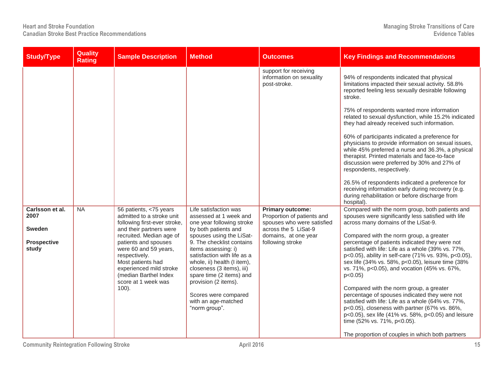| <b>Study/Type</b>                                                | <b>Quality</b><br><b>Rating</b> | <b>Sample Description</b>                                                                                                                                                                                                                                                                                                | <b>Method</b>                                                                                                                                                                                                                                                                                                                                                                                       | <b>Outcomes</b>                                                                                                                                         | <b>Key Findings and Recommendations</b>                                                                                                                                                                                                                                                                                                                                                                                                                                                                                                                                                                                                                                                                                                                                                                              |
|------------------------------------------------------------------|---------------------------------|--------------------------------------------------------------------------------------------------------------------------------------------------------------------------------------------------------------------------------------------------------------------------------------------------------------------------|-----------------------------------------------------------------------------------------------------------------------------------------------------------------------------------------------------------------------------------------------------------------------------------------------------------------------------------------------------------------------------------------------------|---------------------------------------------------------------------------------------------------------------------------------------------------------|----------------------------------------------------------------------------------------------------------------------------------------------------------------------------------------------------------------------------------------------------------------------------------------------------------------------------------------------------------------------------------------------------------------------------------------------------------------------------------------------------------------------------------------------------------------------------------------------------------------------------------------------------------------------------------------------------------------------------------------------------------------------------------------------------------------------|
|                                                                  |                                 |                                                                                                                                                                                                                                                                                                                          |                                                                                                                                                                                                                                                                                                                                                                                                     | support for receiving<br>information on sexuality<br>post-stroke.                                                                                       | 94% of respondents indicated that physical<br>limitations impacted their sexual activity. 58.8%<br>reported feeling less sexually desirable following<br>stroke.<br>75% of respondents wanted more information<br>related to sexual dysfunction, while 15.2% indicated<br>they had already received such information.<br>60% of participants indicated a preference for<br>physicians to provide information on sexual issues,<br>while 45% preferred a nurse and 36.3%, a physical<br>therapist. Printed materials and face-to-face<br>discussion were preferred by 30% and 27% of<br>respondents, respectively.<br>26.5% of respondents indicated a preference for<br>receiving information early during recovery (e.g.<br>during rehabilitation or before discharge from<br>hospital).                            |
| Carlsson et al.<br>2007<br>Sweden<br><b>Prospective</b><br>study | <b>NA</b>                       | 56 patients, <75 years<br>admitted to a stroke unit<br>following first-ever stroke,<br>and their partners were<br>recruited. Median age of<br>patients and spouses<br>were 60 and 59 years,<br>respectively.<br>Most patients had<br>experienced mild stroke<br>(median Barthel Index<br>score at 1 week was<br>$100$ ). | Life satisfaction was<br>assessed at 1 week and<br>one year following stroke<br>by both patients and<br>spouses using the LiSat-<br>9. The checklist contains<br>items assessing: i)<br>satisfaction with life as a<br>whole, ii) health (I item),<br>closeness (3 items), iii)<br>spare time (2 items) and<br>provision (2 items).<br>Scores were compared<br>with an age-matched<br>"norm group". | <b>Primary outcome:</b><br>Proportion of patients and<br>spouses who were satisfied<br>across the 5 LiSat-9<br>domains, at one year<br>following stroke | Compared with the norm group, both patients and<br>spouses were significantly less satisfied with life<br>across many domains of the LiSat-9.<br>Compared with the norm group, a greater<br>percentage of patients indicated they were not<br>satisfied with life: Life as a whole (39% vs. 77%,<br>p<0.05), ability in self-care (71% vs. 93%, p<0.05),<br>sex life (34% vs. 58%, p<0.05), leisure time (38%<br>vs. 71%, p<0.05), and vocation (45% vs. 67%,<br>p<0.05<br>Compared with the norm group, a greater<br>percentage of spouses indicated they were not<br>satisfied with life: Life as a whole (64% vs. 77%,<br>p<0.05), closeness with partner (67% vs. 86%,<br>p<0.05), sex life (41% vs. 58%, p<0.05) and leisure<br>time (52% vs. 71%, p<0.05).<br>The proportion of couples in which both partners |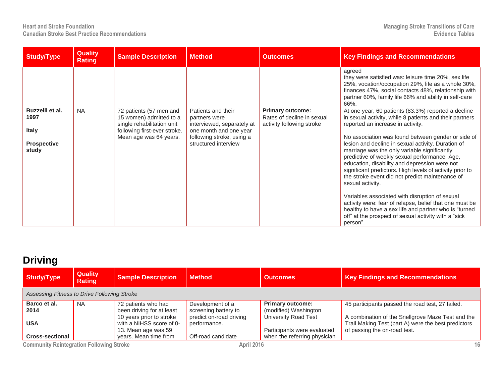| <b>Study/Type</b>                                                      | <b>Quality</b><br><b>Rating</b> | <b>Sample Description</b>                                                                                                                  | <b>Method</b>                                                                                                                                    | <b>Outcomes</b>                                                                    | <b>Key Findings and Recommendations</b>                                                                                                                                                                                                                                                                                                                                                                                                                                                                                                                                                                                                                                                                                                                                                         |
|------------------------------------------------------------------------|---------------------------------|--------------------------------------------------------------------------------------------------------------------------------------------|--------------------------------------------------------------------------------------------------------------------------------------------------|------------------------------------------------------------------------------------|-------------------------------------------------------------------------------------------------------------------------------------------------------------------------------------------------------------------------------------------------------------------------------------------------------------------------------------------------------------------------------------------------------------------------------------------------------------------------------------------------------------------------------------------------------------------------------------------------------------------------------------------------------------------------------------------------------------------------------------------------------------------------------------------------|
|                                                                        |                                 |                                                                                                                                            |                                                                                                                                                  |                                                                                    | agreed<br>they were satisfied was: leisure time 20%, sex life<br>25%, vocation/occupation 29%, life as a whole 30%,<br>finances 47%, social contacts 48%, relationship with<br>partner 60%, family life 66% and ability in self-care<br>66%.                                                                                                                                                                                                                                                                                                                                                                                                                                                                                                                                                    |
| Buzzelli et al.<br>1997<br><b>Italy</b><br><b>Prospective</b><br>study | <b>NA</b>                       | 72 patients (57 men and<br>15 women) admitted to a<br>single rehabilitation unit<br>following first-ever stroke.<br>Mean age was 64 years. | Patients and their<br>partners were<br>interviewed, separately at<br>one month and one year<br>following stroke, using a<br>structured interview | <b>Primary outcome:</b><br>Rates of decline in sexual<br>activity following stroke | At one year, 60 patients (83.3%) reported a decline<br>in sexual activity, while 8 patients and their partners<br>reported an increase in activity.<br>No association was found between gender or side of<br>lesion and decline in sexual activity. Duration of<br>marriage was the only variable significantly<br>predictive of weekly sexual performance. Age,<br>education, disability and depression were not<br>significant predictors. High levels of activity prior to<br>the stroke event did not predict maintenance of<br>sexual activity.<br>Variables associated with disruption of sexual<br>activity were: fear of relapse, belief that one must be<br>healthy to have a sex life and partner who is "turned<br>off" at the prospect of sexual activity with a "sick"<br>person". |

### **Driving**

| <b>Study/Type</b>                               | <b>Quality</b><br><b>Rating</b>             | <b>Sample Description</b> | <b>Method</b>           | <b>Outcomes</b>              | <b>Key Findings and Recommendations</b>             |  |  |  |  |
|-------------------------------------------------|---------------------------------------------|---------------------------|-------------------------|------------------------------|-----------------------------------------------------|--|--|--|--|
|                                                 | Assessing Fitness to Drive Following Stroke |                           |                         |                              |                                                     |  |  |  |  |
| Barco et al.                                    | <b>NA</b>                                   | 72 patients who had       | Development of a        | <b>Primary outcome:</b>      | 45 participants passed the road test, 27 failed.    |  |  |  |  |
| 2014                                            |                                             | been driving for at least | screening battery to    | (modified) Washington        |                                                     |  |  |  |  |
|                                                 |                                             | 10 years prior to stroke  | predict on-road driving | <b>University Road Test</b>  | A combination of the Snellgrove Maze Test and the   |  |  |  |  |
| <b>USA</b>                                      |                                             | with a NIHSS score of 0-  | performance.            |                              | Trail Making Test (part A) were the best predictors |  |  |  |  |
|                                                 |                                             | 13. Mean age was 59       |                         | Participants were evaluated  | of passing the on-road test.                        |  |  |  |  |
| <b>Cross-sectional</b>                          |                                             | years. Mean time from     | Off-road candidate      | when the referring physician |                                                     |  |  |  |  |
| <b>Community Reintegration Following Stroke</b> |                                             |                           | <b>April 2016</b>       |                              | 16                                                  |  |  |  |  |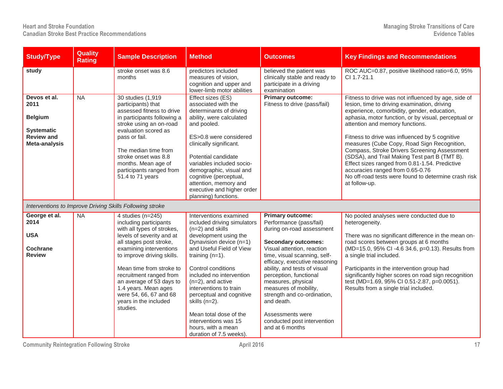| <b>Study/Type</b>                                                                                 | <b>Quality</b><br><b>Rating</b> | <b>Sample Description</b>                                                                                                                                                                                                                                                                                                                                            | <b>Method</b>                                                                                                                                                                                                                                                                                                                                               | <b>Outcomes</b>                                                                                                                                                                                                                                                                                                                                                    | <b>Key Findings and Recommendations</b>                                                                                                                                                                                                                                                                                                                                                                                                                                                                                                                                                                        |
|---------------------------------------------------------------------------------------------------|---------------------------------|----------------------------------------------------------------------------------------------------------------------------------------------------------------------------------------------------------------------------------------------------------------------------------------------------------------------------------------------------------------------|-------------------------------------------------------------------------------------------------------------------------------------------------------------------------------------------------------------------------------------------------------------------------------------------------------------------------------------------------------------|--------------------------------------------------------------------------------------------------------------------------------------------------------------------------------------------------------------------------------------------------------------------------------------------------------------------------------------------------------------------|----------------------------------------------------------------------------------------------------------------------------------------------------------------------------------------------------------------------------------------------------------------------------------------------------------------------------------------------------------------------------------------------------------------------------------------------------------------------------------------------------------------------------------------------------------------------------------------------------------------|
| study                                                                                             |                                 | stroke onset was 8.6<br>months                                                                                                                                                                                                                                                                                                                                       | predictors included<br>measures of vision,<br>cognition and upper and<br>lower-limb motor abilities                                                                                                                                                                                                                                                         | believed the patient was<br>clinically stable and ready to<br>participate in a driving<br>examination                                                                                                                                                                                                                                                              | ROC AUC=0.87, positive likelihood ratio=6.0, 95%<br>CI 1.7-21.1                                                                                                                                                                                                                                                                                                                                                                                                                                                                                                                                                |
| Devos et al.<br>2011<br><b>Belgium</b><br><b>Systematic</b><br><b>Review and</b><br>Meta-analysis | <b>NA</b>                       | 30 studies (1,919)<br>participants) that<br>assessed fitness to drive<br>in participants following a<br>stroke using an on-road<br>evaluation scored as<br>pass or fail.<br>The median time from<br>stroke onset was 8.8<br>months. Mean age of<br>participants ranged from<br>51.4 to 71 years                                                                      | Effect sizes (ES)<br>associated with the<br>determinants of driving<br>ability, were calculated<br>and pooled.<br>ES>0.8 were considered<br>clinically significant.<br>Potential candidate<br>variables included socio-<br>demographic, visual and<br>cognitive (perceptual,<br>attention, memory and<br>executive and higher order<br>planning) functions. | <b>Primary outcome:</b><br>Fitness to drive (pass/fail)                                                                                                                                                                                                                                                                                                            | Fitness to drive was not influenced by age, side of<br>lesion, time to driving examination, driving<br>experience, comorbidity, gender, education,<br>aphasia, motor function, or by visual, perceptual or<br>attention and memory functions.<br>Fitness to drive was influenced by 5 cognitive<br>measures (Cube Copy, Road Sign Recognition,<br>Compass, Stroke Drivers Screening Assessment<br>(SDSA), and Trail Making Test part B (TMT B).<br>Effect sizes ranged from 0.81-1.54. Predictive<br>accuracies ranged from 0.65-0.76<br>No off-road tests were found to determine crash risk<br>at follow-up. |
|                                                                                                   |                                 | Interventions to Improve Driving Skills Following stroke                                                                                                                                                                                                                                                                                                             |                                                                                                                                                                                                                                                                                                                                                             |                                                                                                                                                                                                                                                                                                                                                                    |                                                                                                                                                                                                                                                                                                                                                                                                                                                                                                                                                                                                                |
| George et al.<br>2014<br><b>USA</b><br><b>Cochrane</b><br><b>Review</b>                           | <b>NA</b>                       | 4 studies (n=245)<br>including participants<br>with all types of strokes,<br>levels of severity and at<br>all stages post stroke,<br>examining interventions<br>to improve driving skills.<br>Mean time from stroke to<br>recruitment ranged from<br>an average of 53 days to<br>1.4 years. Mean ages<br>were 54, 66, 67 and 68<br>years in the included<br>studies. | Interventions examined<br>included driving simulators<br>$(n=2)$ and skills<br>development using the<br>Dynavision device (n=1)<br>and Useful Field of View<br>training $(n=1)$ .<br>Control conditions<br>included no intervention<br>$(n=2)$ , and active<br>interventions to train<br>perceptual and cognitive<br>skills (n=2).                          | <b>Primary outcome:</b><br>Performance (pass/fail)<br>during on-road assessment<br><b>Secondary outcomes:</b><br>Visual attention, reaction<br>time, visual scanning, self-<br>efficacy, executive reasoning<br>ability, and tests of visual<br>perception, functional<br>measures, physical<br>measures of mobility,<br>strength and co-ordination,<br>and death. | No pooled analyses were conducted due to<br>heterogeneity.<br>There was no significant difference in the mean on-<br>road scores between groups at 6 months<br>(MD=15.0, 95% CI -4.6 34.6, p=0.13). Results from<br>a single trial included.<br>Participants in the intervention group had<br>significantly higher scores on road sign recognition<br>test (MD=1.69, 95% CI 0.51-2.87, p=0.0051).<br>Results from a single trial included.                                                                                                                                                                     |
|                                                                                                   |                                 |                                                                                                                                                                                                                                                                                                                                                                      | Mean total dose of the<br>interventions was 15<br>hours, with a mean<br>duration of 7.5 weeks).                                                                                                                                                                                                                                                             | Assessments were<br>conducted post intervention<br>and at 6 months                                                                                                                                                                                                                                                                                                 |                                                                                                                                                                                                                                                                                                                                                                                                                                                                                                                                                                                                                |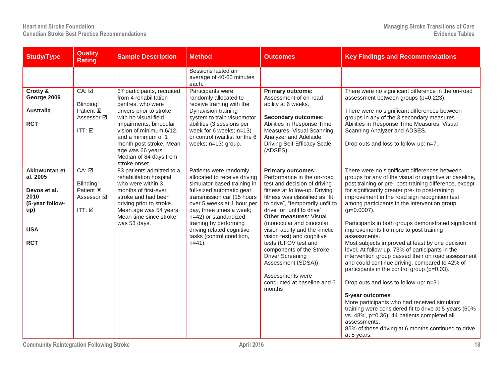#### **Heart and Stroke Foundation Managing Stroke Transitions of Care Canadian Stroke Best Practice Recommendations**

| <b>Study/Type</b>                                                                                       | <b>Quality</b><br><b>Rating</b>                                                      | <b>Sample Description</b>                                                                                                                                                                                                                                                                         | <b>Method</b>                                                                                                                                                                                                                                                                                                                        | <b>Outcomes</b>                                                                                                                                                                                                                                                                                                                                                                                                                                                                                                            | <b>Key Findings and Recommendations</b>                                                                                                                                                                                                                                                                                                                                                                                                                                                                                                                                                                                                                                                                                                                                                                                                                                                                                                                                                                                           |
|---------------------------------------------------------------------------------------------------------|--------------------------------------------------------------------------------------|---------------------------------------------------------------------------------------------------------------------------------------------------------------------------------------------------------------------------------------------------------------------------------------------------|--------------------------------------------------------------------------------------------------------------------------------------------------------------------------------------------------------------------------------------------------------------------------------------------------------------------------------------|----------------------------------------------------------------------------------------------------------------------------------------------------------------------------------------------------------------------------------------------------------------------------------------------------------------------------------------------------------------------------------------------------------------------------------------------------------------------------------------------------------------------------|-----------------------------------------------------------------------------------------------------------------------------------------------------------------------------------------------------------------------------------------------------------------------------------------------------------------------------------------------------------------------------------------------------------------------------------------------------------------------------------------------------------------------------------------------------------------------------------------------------------------------------------------------------------------------------------------------------------------------------------------------------------------------------------------------------------------------------------------------------------------------------------------------------------------------------------------------------------------------------------------------------------------------------------|
|                                                                                                         |                                                                                      |                                                                                                                                                                                                                                                                                                   | Sessions lasted an<br>average of 40-60 minutes<br>each.                                                                                                                                                                                                                                                                              |                                                                                                                                                                                                                                                                                                                                                                                                                                                                                                                            |                                                                                                                                                                                                                                                                                                                                                                                                                                                                                                                                                                                                                                                                                                                                                                                                                                                                                                                                                                                                                                   |
| Crotty &<br>George 2009<br><b>Australia</b><br><b>RCT</b>                                               | $CA: \Box$<br>Blinding:<br>Patient <b>E</b><br>Assessor <b>Ø</b><br>$ITT: \boxed{2}$ | 37 participants, recruited<br>from 4 rehabilitation<br>centres, who were<br>drivers prior to stroke<br>with no visual field<br>impairments, binocular<br>vision of minimum 6/12,<br>and a minimum of 1<br>month post stroke. Mean<br>age was 66 years.<br>Median of 84 days from<br>stroke onset. | Participants were<br>randomly allocated to<br>receive training with the<br>Dynavision training<br>system to train visuomotor<br>abilities (3 sessions per<br>week for $6$ weeks; $n=13$ )<br>or control (waitlist for the 6<br>weeks; n=13) group.                                                                                   | <b>Primary outcome:</b><br>Assessment of on-road<br>ability at 6 weeks.<br><b>Secondary outcomes:</b><br>Abilities in Response Time<br>Measures, Visual Scanning<br>Analyzer and Adelaide<br><b>Driving Self-Efficacy Scale</b><br>(ADSES).                                                                                                                                                                                                                                                                                | There were no significant difference in the on-road<br>assessment between groups (p=0.223).<br>There were no significant differences between<br>groups in any of the 3 secondary measures -<br>Abilities in Response Time Measures, Visual<br>Scanning Analyzer and ADSES.<br>Drop outs and loss to follow-up: n=7.                                                                                                                                                                                                                                                                                                                                                                                                                                                                                                                                                                                                                                                                                                               |
| Akinwuntan et<br>al. 2005<br>Devos et al.<br>2010<br>(5-year follow-<br>up)<br><b>USA</b><br><b>RCT</b> | $CA: \Box$<br>Blinding:<br>Patient <b>図</b><br>Assessor Ø<br>ITT: $\boxtimes$        | 83 patients admitted to a<br>rehabilitation hospital<br>who were within 3<br>months of first-ever<br>stroke and had been<br>driving prior to stroke.<br>Mean age was 54 years.<br>Mean time since stroke<br>was 53 days.                                                                          | Patients were randomly<br>allocated to receive driving<br>simulator-based training in<br>full-sized automatic gear<br>transmission car (15 hours<br>over 5 weeks at 1 hour per<br>day, three times a week;<br>n=42) or standardized<br>training by performing<br>driving related cognitive<br>tasks (control condition,<br>$n=41$ ). | <b>Primary outcomes:</b><br>Performance in the on-road<br>test and decision of driving<br>fitness at follow-up. Driving<br>fitness was classified as "fit<br>to drive", "temporarily unfit to<br>drive" or "unfit to drive"<br><b>Other measures: Visual</b><br>(monocular and binocular<br>vision acuity and the kinetic<br>vision test) and cognitive<br>tests (UFOV test and<br>components of the Stroke<br><b>Driver Screening</b><br>Assessment (SDSA)).<br>Assessments were<br>conducted at baseline and 6<br>months | There were no significant differences between<br>groups for any of the visual or cognitive at baseline,<br>post training or pre- post-training difference, except<br>for significantly greater pre- to post-training<br>improvement in the road sign recognition test<br>among participants in the intervention group<br>$(p=0.0007)$ .<br>Participants in both groups demonstrated significant<br>improvements from pre to post training<br>assessments.<br>Most subjects improved at least by one decision<br>level. At follow-up, 73% of participants in the<br>intervention group passed their on road assessment<br>and could continue driving, compared to 42% of<br>participants in the control group (p=0.03).<br>Drop outs and loss to follow-up: n=31.<br>5-year outcomes<br>More participants who had received simulator<br>training were considered fit to drive at 5-years (60%<br>vs. 48%, p=0.36). 44 patients completed all<br>assessments.<br>85% of those driving at 6 months continued to drive<br>at 5 years. |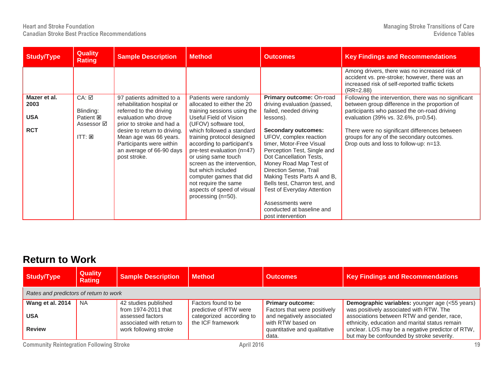**Heart and Stroke Foundation Managing Stroke Transitions of Care Canadian Stroke Best Practice Recommendations** 

| <b>Study/Type</b>                                | <b>Quality</b><br><b>Rating</b>                                                 | <b>Sample Description</b>                                                                                                                                                                                                                                                 | <b>Method</b>                                                                                                                                                                                                                                                                                                                                                                                                                                    | <b>Outcomes</b>                                                                                                                                                                                                                                                                                                                                                                                                                                                      | <b>Key Findings and Recommendations</b>                                                                                                                                                                                                                                                                                             |
|--------------------------------------------------|---------------------------------------------------------------------------------|---------------------------------------------------------------------------------------------------------------------------------------------------------------------------------------------------------------------------------------------------------------------------|--------------------------------------------------------------------------------------------------------------------------------------------------------------------------------------------------------------------------------------------------------------------------------------------------------------------------------------------------------------------------------------------------------------------------------------------------|----------------------------------------------------------------------------------------------------------------------------------------------------------------------------------------------------------------------------------------------------------------------------------------------------------------------------------------------------------------------------------------------------------------------------------------------------------------------|-------------------------------------------------------------------------------------------------------------------------------------------------------------------------------------------------------------------------------------------------------------------------------------------------------------------------------------|
|                                                  |                                                                                 |                                                                                                                                                                                                                                                                           |                                                                                                                                                                                                                                                                                                                                                                                                                                                  |                                                                                                                                                                                                                                                                                                                                                                                                                                                                      | Among drivers, there was no increased risk of<br>accident vs. pre-stroke; however, there was an<br>increased risk of self-reported traffic tickets<br>$(RR = 2.88)$                                                                                                                                                                 |
| Mazer et al.<br>2003<br><b>USA</b><br><b>RCT</b> | CA: ☑<br>Blinding:<br>Patient <b>E</b><br>Assessor <b>☑</b><br>$ITT: \boxtimes$ | 97 patients admitted to a<br>rehabilitation hospital or<br>referred to the driving<br>evaluation who drove<br>prior to stroke and had a<br>desire to return to driving.<br>Mean age was 66 years.<br>Participants were within<br>an average of 66-90 days<br>post stroke. | Patients were randomly<br>allocated to either the 20<br>training sessions using the<br>Useful Field of Vision<br>(UFOV) software tool,<br>which followed a standard<br>training protocol designed<br>according to participant's<br>pre-test evaluation (n=47)<br>or using same touch<br>screen as the intervention.<br>but which included<br>computer games that did<br>not require the same<br>aspects of speed of visual<br>processing (n=50). | Primary outcome: On-road<br>driving evaluation (passed,<br>failed, needed driving<br>lessons).<br><b>Secondary outcomes:</b><br>UFOV, complex reaction<br>timer, Motor-Free Visual<br>Perception Test, Single and<br>Dot Cancellation Tests,<br>Money Road Map Test of<br>Direction Sense, Trail<br>Making Tests Parts A and B,<br>Bells test, Charron test, and<br>Test of Everyday Attention<br>Assessments were<br>conducted at baseline and<br>post intervention | Following the intervention, there was no significant<br>between group difference in the proportion of<br>participants who passed the on-road driving<br>evaluation (39% vs. 32.6%, p=0.54).<br>There were no significant differences between<br>groups for any of the secondary outcomes.<br>Drop outs and loss to follow-up: n=13. |

#### **Return to Work**

| Study/Type                             | <b>Quality</b><br><b>Rating</b> | <b>Sample Description</b>                     | <b>Method</b>                                 | <b>Outcomes</b>                                         | <b>Key Findings and Recommendations</b>                                                          |  |  |  |
|----------------------------------------|---------------------------------|-----------------------------------------------|-----------------------------------------------|---------------------------------------------------------|--------------------------------------------------------------------------------------------------|--|--|--|
| Rates and predictors of return to work |                                 |                                               |                                               |                                                         |                                                                                                  |  |  |  |
| Wang et al. 2014                       | <b>NA</b>                       | 42 studies published<br>from 1974-2011 that   | Factors found to be<br>predictive of RTW were | <b>Primary outcome:</b><br>Factors that were positively | <b>Demographic variables:</b> younger age (<55 years)<br>was positively associated with RTW. The |  |  |  |
| <b>USA</b>                             |                                 | assessed factors<br>associated with return to | categorized according to<br>the ICF framework | and negatively associated<br>with RTW based on          | associations between RTW and gender, race,<br>ethnicity, education and marital status remain     |  |  |  |
| <b>Review</b>                          |                                 | work following stroke                         |                                               | quantitative and qualitative<br>data.                   | unclear. LOS may be a negative predictor of RTW,<br>but may be confounded by stroke severity.    |  |  |  |

**Community Reintegration Following Stroke** 19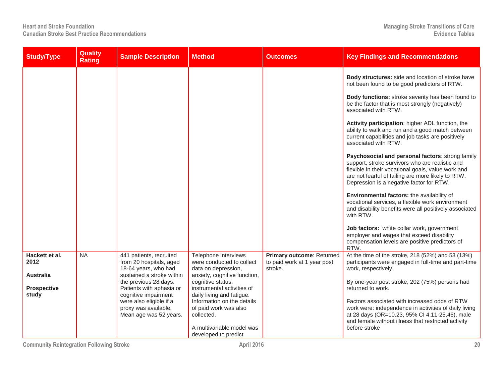| <b>Study/Type</b>                                                         | Quality<br><b>Rating</b> | <b>Sample Description</b>                                                                                                                                                                                                                                         | <b>Method</b>                                                                                                                                                                                                                                                                                                      | <b>Outcomes</b>                                                     | <b>Key Findings and Recommendations</b>                                                                                                                                                                                                                                                                                                                                                                                                                                                                                                                                                                                                                                                                                                                                                                                                                                                                                                                                                                              |
|---------------------------------------------------------------------------|--------------------------|-------------------------------------------------------------------------------------------------------------------------------------------------------------------------------------------------------------------------------------------------------------------|--------------------------------------------------------------------------------------------------------------------------------------------------------------------------------------------------------------------------------------------------------------------------------------------------------------------|---------------------------------------------------------------------|----------------------------------------------------------------------------------------------------------------------------------------------------------------------------------------------------------------------------------------------------------------------------------------------------------------------------------------------------------------------------------------------------------------------------------------------------------------------------------------------------------------------------------------------------------------------------------------------------------------------------------------------------------------------------------------------------------------------------------------------------------------------------------------------------------------------------------------------------------------------------------------------------------------------------------------------------------------------------------------------------------------------|
|                                                                           |                          |                                                                                                                                                                                                                                                                   |                                                                                                                                                                                                                                                                                                                    |                                                                     | Body structures: side and location of stroke have<br>not been found to be good predictors of RTW.<br>Body functions: stroke severity has been found to<br>be the factor that is most strongly (negatively)<br>associated with RTW.<br>Activity participation: higher ADL function, the<br>ability to walk and run and a good match between<br>current capabilities and job tasks are positively<br>associated with RTW.<br>Psychosocial and personal factors: strong family<br>support, stroke survivors who are realistic and<br>flexible in their vocational goals, value work and<br>are not fearful of failing are more likely to RTW.<br>Depression is a negative factor for RTW.<br>Environmental factors: the availability of<br>vocational services, a flexible work environment<br>and disability benefits were all positively associated<br>with RTW.<br>Job factors: white collar work, government<br>employer and wages that exceed disability<br>compensation levels are positive predictors of<br>RTW. |
| Hackett et al.<br>2012<br><b>Australia</b><br><b>Prospective</b><br>study | <b>NA</b>                | 441 patients, recruited<br>from 20 hospitals, aged<br>18-64 years, who had<br>sustained a stroke within<br>the previous 28 days.<br>Patients with aphasia or<br>cognitive impairment<br>were also eligible if a<br>proxy was available.<br>Mean age was 52 years. | Telephone interviews<br>were conducted to collect<br>data on depression,<br>anxiety, cognitive function,<br>cognitive status,<br>instrumental activities of<br>daily living and fatigue.<br>Information on the details<br>of paid work was also<br>collected.<br>A multivariable model was<br>developed to predict | Primary outcome: Returned<br>to paid work at 1 year post<br>stroke. | At the time of the stroke, 218 (52%) and 53 (13%)<br>participants were engaged in full-time and part-time<br>work, respectively.<br>By one-year post stroke, 202 (75%) persons had<br>returned to work.<br>Factors associated with increased odds of RTW<br>work were: independence in activities of daily living<br>at 28 days (OR=10.23, 95% CI 4.11-25.46), male<br>and female without illness that restricted activity<br>before stroke                                                                                                                                                                                                                                                                                                                                                                                                                                                                                                                                                                          |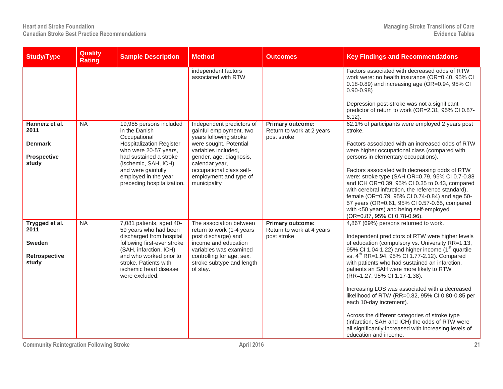| <b>Study/Type</b>                                                 | <b>Quality</b><br><b>Rating</b> | <b>Sample Description</b>                                                                                                                                                                                                                          | <b>Method</b>                                                                                                                                                                                                                                      | <b>Outcomes</b>                                                     | <b>Key Findings and Recommendations</b>                                                                                                                                                                                                                                                                                                                                                                                                                                                                                                                                                                                                                                                                                        |
|-------------------------------------------------------------------|---------------------------------|----------------------------------------------------------------------------------------------------------------------------------------------------------------------------------------------------------------------------------------------------|----------------------------------------------------------------------------------------------------------------------------------------------------------------------------------------------------------------------------------------------------|---------------------------------------------------------------------|--------------------------------------------------------------------------------------------------------------------------------------------------------------------------------------------------------------------------------------------------------------------------------------------------------------------------------------------------------------------------------------------------------------------------------------------------------------------------------------------------------------------------------------------------------------------------------------------------------------------------------------------------------------------------------------------------------------------------------|
|                                                                   |                                 |                                                                                                                                                                                                                                                    | independent factors<br>associated with RTW                                                                                                                                                                                                         |                                                                     | Factors associated with decreased odds of RTW<br>work were: no health insurance (OR=0.40, 95% CI<br>0.18-0.89) and increasing age (OR=0.94, 95% CI<br>$0.90 - 0.98$<br>Depression post-stroke was not a significant<br>predictor of return to work (OR=2.31, 95% CI 0.87-<br>$6.12$ ).                                                                                                                                                                                                                                                                                                                                                                                                                                         |
| Hannerz et al.<br>2011<br><b>Denmark</b><br>Prospective<br>study  | NA                              | 19,985 persons included<br>in the Danish<br>Occupational<br><b>Hospitalization Register</b><br>who were 20-57 years,<br>had sustained a stroke<br>(ischemic, SAH, ICH)<br>and were gainfully<br>employed in the year<br>preceding hospitalization. | Independent predictors of<br>gainful employment, two<br>years following stroke<br>were sought. Potential<br>variables included,<br>gender, age, diagnosis,<br>calendar year,<br>occupational class self-<br>employment and type of<br>municipality | <b>Primary outcome:</b><br>Return to work at 2 years<br>post stroke | 62.1% of participants were employed 2 years post<br>stroke.<br>Factors associated with an increased odds of RTW<br>were higher occupational class (compared with<br>persons in elementary occupations).<br>Factors associated with decreasing odds of RTW<br>were: stroke type (SAH OR=0.79, 95% CI 0.7-0.88<br>and ICH OR=0.39, 95% CI 0.35 to 0.43, compared<br>with cerebral infarction, the reference standard),<br>female (OR=0.79, 95% CI 0.74-0.84) and age 50-<br>57 years (OR=0.61, 95% CI 0.57-0.65, compared<br>with <50 years) and being self-employed<br>(OR=0.87, 95% CI 0.78-0.96).                                                                                                                             |
| Trygged et al.<br>2011<br><b>Sweden</b><br>Retrospective<br>study | <b>NA</b>                       | 7,081 patients, aged 40-<br>59 years who had been<br>discharged from hospital<br>following first-ever stroke<br>(SAH, infarction, ICH)<br>and who worked prior to<br>stroke. Patients with<br>ischemic heart disease<br>were excluded.             | The association between<br>return to work (1-4 years<br>post discharge) and<br>income and education<br>variables was examined<br>controlling for age, sex,<br>stroke subtype and length<br>of stay.                                                | <b>Primary outcome:</b><br>Return to work at 4 years<br>post stroke | 4,867 (69%) persons returned to work.<br>Independent predictors of RTW were higher levels<br>of education (compulsory vs. University RR=1.13,<br>95% CI 1.04-1.22) and higher income (1 <sup>st</sup> quartile<br>vs. 4 <sup>th</sup> RR=1.94, 95% CI 1.77-2.12). Compared<br>with patients who had sustained an infarction,<br>patients an SAH were more likely to RTW<br>(RR=1.27, 95% CI 1.17-1.38).<br>Increasing LOS was associated with a decreased<br>likelihood of RTW (RR=0.82, 95% CI 0.80-0.85 per<br>each 10-day increment).<br>Across the different categories of stroke type<br>(infarction, SAH and ICH) the odds of RTW were<br>all significantly increased with increasing levels of<br>education and income. |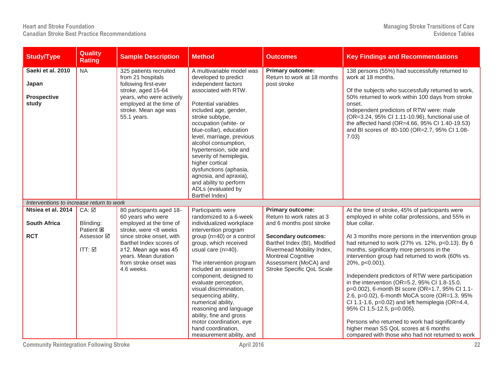| <b>Study/Type</b>                                         | <b>Quality</b><br><b>Rating</b>                                | <b>Sample Description</b>                                                                                                                                                                                                                       | <b>Method</b>                                                                                                                                                                                                                                                                                                                                                                                                                                                              | <b>Outcomes</b>                                                                                                                                                                                                                                                | <b>Key Findings and Recommendations</b>                                                                                                                                                                                                                                                                                                                                                                                                                                                                                                                                                                                                                                                          |
|-----------------------------------------------------------|----------------------------------------------------------------|-------------------------------------------------------------------------------------------------------------------------------------------------------------------------------------------------------------------------------------------------|----------------------------------------------------------------------------------------------------------------------------------------------------------------------------------------------------------------------------------------------------------------------------------------------------------------------------------------------------------------------------------------------------------------------------------------------------------------------------|----------------------------------------------------------------------------------------------------------------------------------------------------------------------------------------------------------------------------------------------------------------|--------------------------------------------------------------------------------------------------------------------------------------------------------------------------------------------------------------------------------------------------------------------------------------------------------------------------------------------------------------------------------------------------------------------------------------------------------------------------------------------------------------------------------------------------------------------------------------------------------------------------------------------------------------------------------------------------|
| Saeki et al. 2010<br>Japan<br><b>Prospective</b><br>study | <b>NA</b>                                                      | 325 patients recruited<br>from 21 hospitals<br>following first-ever<br>stroke, aged 15-64<br>years, who were actively<br>employed at the time of<br>stroke. Mean age was<br>55.1 years.                                                         | A multivariable model was<br>developed to predict<br>independent factors<br>associated with RTW.<br>Potential variables<br>included age, gender,<br>stroke subtype,<br>occupation (white- or<br>blue-collar), education<br>level, marriage, previous<br>alcohol consumption,<br>hypertension, side and<br>severity of hemiplegia,<br>higher cortical<br>dysfunctions (aphasia,<br>agnosia, and apraxia),<br>and ability to perform<br>ADLs (evaluated by<br>Barthel Index) | <b>Primary outcome:</b><br>Return to work at 18 months<br>post stroke                                                                                                                                                                                          | 138 persons (55%) had successfully returned to<br>work at 18 months.<br>Of the subjects who successfully returned to work,<br>50% returned to work within 100 days from stroke<br>onset.<br>Independent predictors of RTW were: male<br>(OR=3.24, 95% Cl 1.11-10.96), functional use of<br>the affected hand (OR=4.66, 95% CI 1.40-19.53)<br>and BI scores of 80-100 (OR=2.7, 95% CI 1.08-<br>7.03)                                                                                                                                                                                                                                                                                              |
| Interventions to increase return to work                  |                                                                |                                                                                                                                                                                                                                                 |                                                                                                                                                                                                                                                                                                                                                                                                                                                                            |                                                                                                                                                                                                                                                                |                                                                                                                                                                                                                                                                                                                                                                                                                                                                                                                                                                                                                                                                                                  |
| Ntsiea et al. 2014<br><b>South Africa</b><br><b>RCT</b>   | CA: ☑<br>Blinding:<br>Patient <b>E</b><br>Assessor ⊠<br>ITT: ☑ | 80 participants aged 18-<br>60 years who were<br>employed at the time of<br>stroke, were <8 weeks<br>since stroke onset, with<br>Barthel Index scores of<br>≥12. Mean age was 45<br>years. Mean duration<br>from stroke onset was<br>4.6 weeks. | Participants were<br>randomized to a 6-week<br>individualized workplace<br>intervention program<br>group $(n=40)$ or a control<br>group, which received<br>usual care (n=40).<br>The intervention program<br>included an assessment<br>component, designed to<br>evaluate perception,<br>visual discrimination,<br>sequencing ability,<br>numerical ability,<br>reasoning and language<br>ability, fine and gross<br>motor coordination, eye                               | <b>Primary outcome:</b><br>Return to work rates at 3<br>and 6 months post stroke<br><b>Secondary outcomes:</b><br>Barthel Index (BI), Modified<br>Rivermead Mobility Index,<br><b>Montreal Cognitive</b><br>Assessment (MoCA) and<br>Stroke Specific QoL Scale | At the time of stroke, 45% of participants were<br>employed in white collar professions, and 55% in<br>blue collar.<br>At 3 months more persons in the intervention group<br>had returned to work (27% vs. 12%, p=0.13). By 6<br>months, significantly more persons in the<br>intervention group had returned to work (60% vs.<br>20%, p<0.001).<br>Independent predictors of RTW were participation<br>in the intervention (OR=5.2, 95% Cl 1.8-15.0,<br>p=0.002), 6-month BI score (OR=1.7, 95% CI 1.1-<br>2.6, p=0.02), 6-month MoCA score (OR=1.3, 95%<br>CI 1.1-1.6, $p=0.02$ ) and left hemiplegia (OR=4.4,<br>95% Cl 1.5-12.5, p=0.005).<br>Persons who returned to work had significantly |
|                                                           |                                                                |                                                                                                                                                                                                                                                 | hand coordination,<br>measurement ability, and                                                                                                                                                                                                                                                                                                                                                                                                                             |                                                                                                                                                                                                                                                                | higher mean SS QoL scores at 6 months<br>compared with those who had not returned to work                                                                                                                                                                                                                                                                                                                                                                                                                                                                                                                                                                                                        |

**Community Reintegration Following Stroke** 22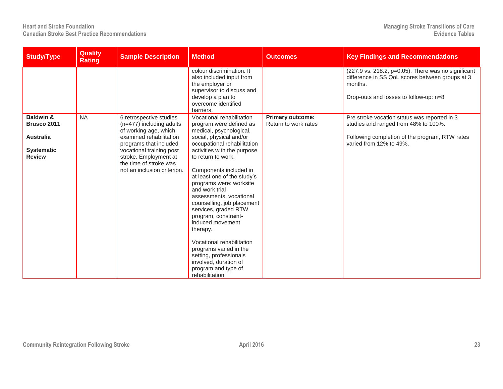| <b>Study/Type</b>                                                                             | <b>Quality</b><br><b>Rating</b> | <b>Sample Description</b>                                                                                                                                                                                                                       | <b>Method</b>                                                                                                                                                                                                                                                                                                                                                                                                                                                                                                                                                                                    | <b>Outcomes</b>                                 | <b>Key Findings and Recommendations</b>                                                                                                                                        |
|-----------------------------------------------------------------------------------------------|---------------------------------|-------------------------------------------------------------------------------------------------------------------------------------------------------------------------------------------------------------------------------------------------|--------------------------------------------------------------------------------------------------------------------------------------------------------------------------------------------------------------------------------------------------------------------------------------------------------------------------------------------------------------------------------------------------------------------------------------------------------------------------------------------------------------------------------------------------------------------------------------------------|-------------------------------------------------|--------------------------------------------------------------------------------------------------------------------------------------------------------------------------------|
|                                                                                               |                                 |                                                                                                                                                                                                                                                 | colour discrimination. It<br>also included input from<br>the employer or<br>supervisor to discuss and<br>develop a plan to<br>overcome identified<br>barriers.                                                                                                                                                                                                                                                                                                                                                                                                                                   |                                                 | $(227.9 \text{ vs. } 218.2, \text{ p=0.05}).$ There was no significant<br>difference in SS QoL scores between groups at 3<br>months.<br>Drop-outs and losses to follow-up: n=8 |
| <b>Baldwin &amp;</b><br>Brusco 2011<br><b>Australia</b><br><b>Systematic</b><br><b>Review</b> | <b>NA</b>                       | 6 retrospective studies<br>(n=477) including adults<br>of working age, which<br>examined rehabilitation<br>programs that included<br>vocational training post<br>stroke. Employment at<br>the time of stroke was<br>not an inclusion criterion. | Vocational rehabilitation<br>program were defined as<br>medical, psychological,<br>social, physical and/or<br>occupational rehabilitation<br>activities with the purpose<br>to return to work.<br>Components included in<br>at least one of the study's<br>programs were: worksite<br>and work trial<br>assessments, vocational<br>counselling, job placement<br>services, graded RTW<br>program, constraint-<br>induced movement<br>therapy.<br>Vocational rehabilitation<br>programs varied in the<br>setting, professionals<br>involved, duration of<br>program and type of<br>rehabilitation | <b>Primary outcome:</b><br>Return to work rates | Pre stroke vocation status was reported in 3<br>studies and ranged from 48% to 100%.<br>Following completion of the program, RTW rates<br>varied from 12% to 49%.              |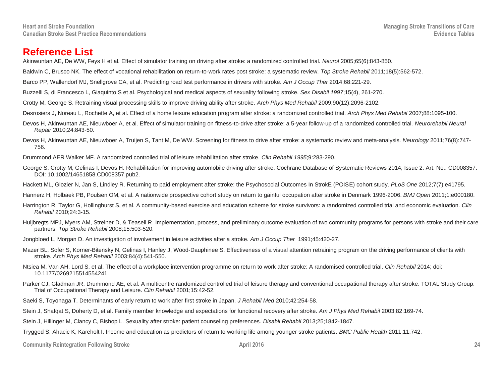#### **Reference List**

Akinwuntan AE, De WW, Feys H et al. Effect of simulator training on driving after stroke: a randomized controlled trial. *Neurol* 2005;65(6):843-850.

Baldwin C, Brusco NK. The effect of vocational rehabilitation on return-to-work rates post stroke: a systematic review. *Top Stroke Rehabil* 2011;18(5):562-572.

Barco PP, Wallendorf MJ, Snellgrove CA, et al. Predicting road test performance in drivers with stroke. *Am J Occup Ther* 2014;68:221-29.

Buzzelli S, di Francesco L, Giaquinto S et al. Psychological and medical aspects of sexuality following stroke. *Sex Disabil 1997*;15(4), 261-270.

Crotty M, George S. Retraining visual processing skills to improve driving ability after stroke. *Arch Phys Med Rehabil* 2009;90(12):2096-2102.

Desrosiers J, Noreau L, Rochette A, et al. Effect of a home leisure education program after stroke: a randomized controlled trial. *Arch Phys Med Rehabil* 2007;88:1095-100.

- Devos H, Akinwuntan AE, Nieuwboer A, et al. Effect of simulator training on fitness-to-drive after stroke: a 5-year follow-up of a randomized controlled trial. *Neurorehabil Neural Repair* 2010;24:843-50.
- Devos H, Akinwuntan AE, Nieuwboer A, Truijen S, Tant M, De WW. Screening for fitness to drive after stroke: a systematic review and meta-analysis. *Neurology* 2011;76(8):747- 756.

Drummond AER Walker MF. A randomized controlled trial of leisure rehabilitation after stroke. *Clin Rehabil 1995*;9:283-290.

George S, Crotty M, Gelinas I, Devos H. Rehabilitation for improving automobile driving after stroke. Cochrane Database of Systematic Reviews 2014, Issue 2. Art. No.: CD008357. DOI: 10.1002/14651858.CD008357.pub2.

Hackett ML, Glozier N, Jan S, Lindley R. Returning to paid employment after stroke: the Psychosocial Outcomes In StrokE (POISE) cohort study. *PLoS One* 2012;7(7):e41795.

Hannerz H, Holbaek PB, Poulsen OM, et al. A nationwide prospective cohort study on return to gainful occupation after stroke in Denmark 1996-2006. *BMJ Open* 2011;1:e000180.

Harrington R, Taylor G, Hollinghurst S, et al. A community-based exercise and education scheme for stroke survivors: a randomized controlled trial and economic evaluation. *Clin Rehabil* 2010;24:3-15.

- Huijbregts MPJ, Myers AM, Streiner D, & Teasell R. Implementation, process, and preliminary outcome evaluation of two community programs for persons with stroke and their care partners. *Top Stroke Rehabil* 2008;15:503-520.
- Jongbloed L, Morgan D. An investigation of involvement in leisure activities after a stroke. *Am J Occup Ther* 1991;45:420-27.
- Mazer BL, Sofer S, Korner-Bitensky N, Gelinas I, Hanley J, Wood-Dauphinee S. Effectiveness of a visual attention retraining program on the driving performance of clients with stroke. *Arch Phys Med Rehabil* 2003;84(4):541-550.
- Ntsiea M, Van AH, Lord S, et al. The effect of a workplace intervention programme on return to work after stroke: A randomised controlled trial. *Clin Rehabil* 2014; doi: 10.1177/0269215514554241.
- Parker CJ, Gladman JR, Drummond AE, et al. A multicentre randomized controlled trial of leisure therapy and conventional occupational therapy after stroke. TOTAL Study Group. Trial of Occupational Therapy and Leisure. *Clin Rehabil* 2001;15:42-52.

Saeki S, Toyonaga T. Determinants of early return to work after first stroke in Japan. *J Rehabil Med* 2010;42:254-58.

Stein J, Shafqat S, Doherty D, et al. Family member knowledge and expectations for functional recovery after stroke. *Am J Phys Med Rehabil* 2003;82:169-74.

Stein J, Hillinger M, Clancy C, Bishop L. Sexuality after stroke: patient counseling preferences. *Disabil Rehabil* 2013;25;1842-1847.

Trygged S, Ahacic K, Kareholt I. Income and education as predictors of return to working life among younger stroke patients. *BMC Public Health* 2011;11:742.